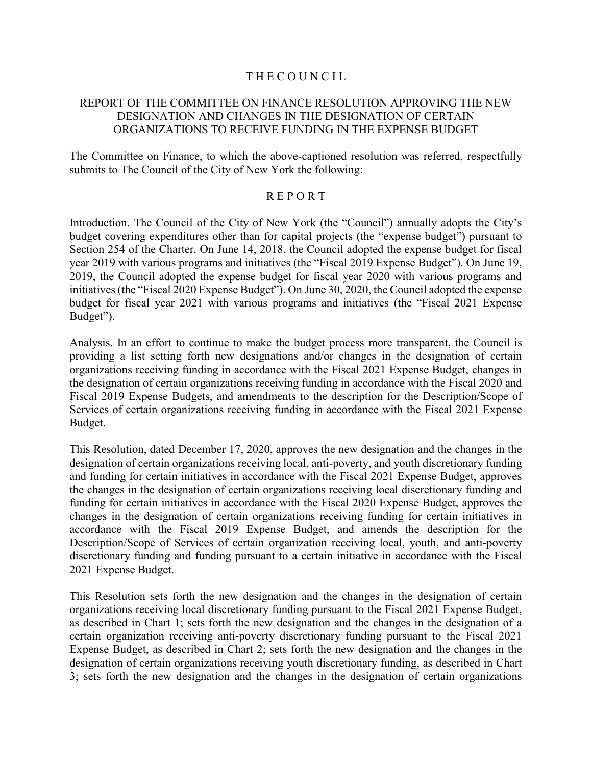# THE COUNCIL

# REPORT OF THE COMMITTEE ON FINANCE RESOLUTION APPROVING THE NEW DESIGNATION AND CHANGES IN THE DESIGNATION OF CERTAIN ORGANIZATIONS TO RECEIVE FUNDING IN THE EXPENSE BUDGET

The Committee on Finance, to which the above-captioned resolution was referred, respectfully submits to The Council of the City of New York the following:

## R E P O R T

Introduction. The Council of the City of New York (the "Council") annually adopts the City's budget covering expenditures other than for capital projects (the "expense budget") pursuant to Section 254 of the Charter. On June 14, 2018, the Council adopted the expense budget for fiscal year 2019 with various programs and initiatives (the "Fiscal 2019 Expense Budget"). On June 19, 2019, the Council adopted the expense budget for fiscal year 2020 with various programs and initiatives (the "Fiscal 2020 Expense Budget"). On June 30, 2020, the Council adopted the expense budget for fiscal year 2021 with various programs and initiatives (the "Fiscal 2021 Expense Budget").

Analysis. In an effort to continue to make the budget process more transparent, the Council is providing a list setting forth new designations and/or changes in the designation of certain organizations receiving funding in accordance with the Fiscal 2021 Expense Budget, changes in the designation of certain organizations receiving funding in accordance with the Fiscal 2020 and Fiscal 2019 Expense Budgets, and amendments to the description for the Description/Scope of Services of certain organizations receiving funding in accordance with the Fiscal 2021 Expense Budget.

This Resolution, dated December 17, 2020, approves the new designation and the changes in the designation of certain organizations receiving local, anti-poverty, and youth discretionary funding and funding for certain initiatives in accordance with the Fiscal 2021 Expense Budget, approves the changes in the designation of certain organizations receiving local discretionary funding and funding for certain initiatives in accordance with the Fiscal 2020 Expense Budget, approves the changes in the designation of certain organizations receiving funding for certain initiatives in accordance with the Fiscal 2019 Expense Budget, and amends the description for the Description/Scope of Services of certain organization receiving local, youth, and anti-poverty discretionary funding and funding pursuant to a certain initiative in accordance with the Fiscal 2021 Expense Budget.

This Resolution sets forth the new designation and the changes in the designation of certain organizations receiving local discretionary funding pursuant to the Fiscal 2021 Expense Budget, as described in Chart 1; sets forth the new designation and the changes in the designation of a certain organization receiving anti-poverty discretionary funding pursuant to the Fiscal 2021 Expense Budget, as described in Chart 2; sets forth the new designation and the changes in the designation of certain organizations receiving youth discretionary funding, as described in Chart 3; sets forth the new designation and the changes in the designation of certain organizations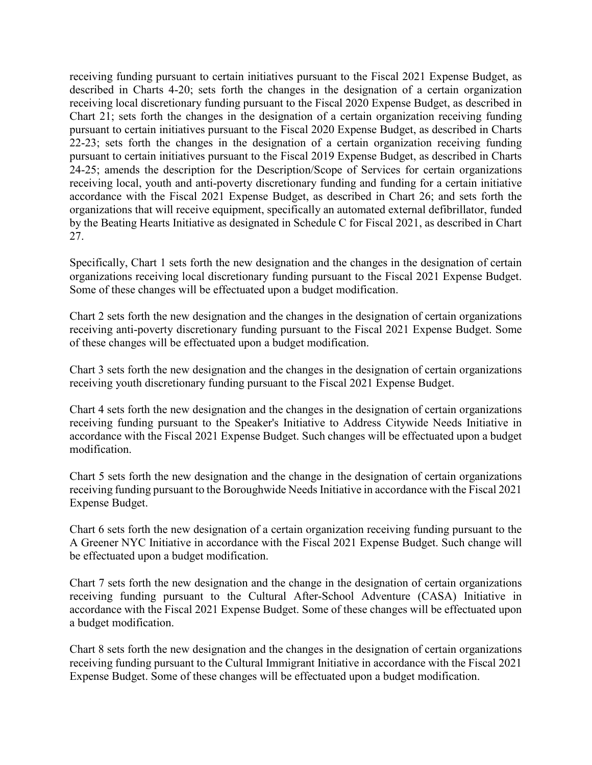receiving funding pursuant to certain initiatives pursuant to the Fiscal 2021 Expense Budget, as described in Charts 4-20; sets forth the changes in the designation of a certain organization receiving local discretionary funding pursuant to the Fiscal 2020 Expense Budget, as described in Chart 21; sets forth the changes in the designation of a certain organization receiving funding pursuant to certain initiatives pursuant to the Fiscal 2020 Expense Budget, as described in Charts 22-23; sets forth the changes in the designation of a certain organization receiving funding pursuant to certain initiatives pursuant to the Fiscal 2019 Expense Budget, as described in Charts 24-25; amends the description for the Description/Scope of Services for certain organizations receiving local, youth and anti-poverty discretionary funding and funding for a certain initiative accordance with the Fiscal 2021 Expense Budget, as described in Chart 26; and sets forth the organizations that will receive equipment, specifically an automated external defibrillator, funded by the Beating Hearts Initiative as designated in Schedule C for Fiscal 2021, as described in Chart 27.

Specifically, Chart 1 sets forth the new designation and the changes in the designation of certain organizations receiving local discretionary funding pursuant to the Fiscal 2021 Expense Budget. Some of these changes will be effectuated upon a budget modification.

Chart 2 sets forth the new designation and the changes in the designation of certain organizations receiving anti-poverty discretionary funding pursuant to the Fiscal 2021 Expense Budget. Some of these changes will be effectuated upon a budget modification.

Chart 3 sets forth the new designation and the changes in the designation of certain organizations receiving youth discretionary funding pursuant to the Fiscal 2021 Expense Budget.

Chart 4 sets forth the new designation and the changes in the designation of certain organizations receiving funding pursuant to the Speaker's Initiative to Address Citywide Needs Initiative in accordance with the Fiscal 2021 Expense Budget. Such changes will be effectuated upon a budget modification.

Chart 5 sets forth the new designation and the change in the designation of certain organizations receiving funding pursuant to the Boroughwide Needs Initiative in accordance with the Fiscal 2021 Expense Budget.

Chart 6 sets forth the new designation of a certain organization receiving funding pursuant to the A Greener NYC Initiative in accordance with the Fiscal 2021 Expense Budget. Such change will be effectuated upon a budget modification.

Chart 7 sets forth the new designation and the change in the designation of certain organizations receiving funding pursuant to the Cultural After-School Adventure (CASA) Initiative in accordance with the Fiscal 2021 Expense Budget. Some of these changes will be effectuated upon a budget modification.

Chart 8 sets forth the new designation and the changes in the designation of certain organizations receiving funding pursuant to the Cultural Immigrant Initiative in accordance with the Fiscal 2021 Expense Budget. Some of these changes will be effectuated upon a budget modification.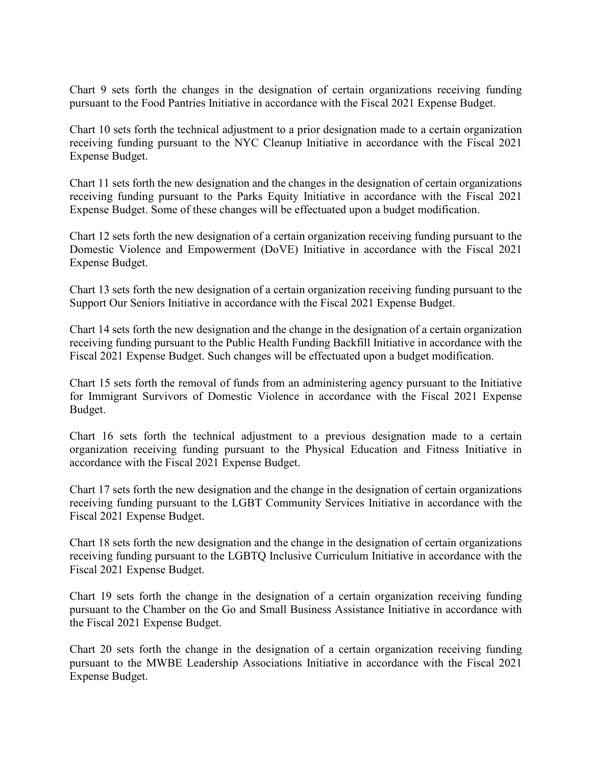Chart 9 sets forth the changes in the designation of certain organizations receiving funding pursuant to the Food Pantries Initiative in accordance with the Fiscal 2021 Expense Budget.

Chart 10 sets forth the technical adjustment to a prior designation made to a certain organization receiving funding pursuant to the NYC Cleanup Initiative in accordance with the Fiscal 2021 Expense Budget.

Chart 11 sets forth the new designation and the changes in the designation of certain organizations receiving funding pursuant to the Parks Equity Initiative in accordance with the Fiscal 2021 Expense Budget. Some of these changes will be effectuated upon a budget modification.

Chart 12 sets forth the new designation of a certain organization receiving funding pursuant to the Domestic Violence and Empowerment (DoVE) Initiative in accordance with the Fiscal 2021 Expense Budget.

Chart 13 sets forth the new designation of a certain organization receiving funding pursuant to the Support Our Seniors Initiative in accordance with the Fiscal 2021 Expense Budget.

Chart 14 sets forth the new designation and the change in the designation of a certain organization receiving funding pursuant to the Public Health Funding Backfill Initiative in accordance with the Fiscal 2021 Expense Budget. Such changes will be effectuated upon a budget modification.

Chart 15 sets forth the removal of funds from an administering agency pursuant to the Initiative for Immigrant Survivors of Domestic Violence in accordance with the Fiscal 2021 Expense Budget.

Chart 16 sets forth the technical adjustment to a previous designation made to a certain organization receiving funding pursuant to the Physical Education and Fitness Initiative in accordance with the Fiscal 2021 Expense Budget.

Chart 17 sets forth the new designation and the change in the designation of certain organizations receiving funding pursuant to the LGBT Community Services Initiative in accordance with the Fiscal 2021 Expense Budget.

Chart 18 sets forth the new designation and the change in the designation of certain organizations receiving funding pursuant to the LGBTQ Inclusive Curriculum Initiative in accordance with the Fiscal 2021 Expense Budget.

Chart 19 sets forth the change in the designation of a certain organization receiving funding pursuant to the Chamber on the Go and Small Business Assistance Initiative in accordance with the Fiscal 2021 Expense Budget.

Chart 20 sets forth the change in the designation of a certain organization receiving funding pursuant to the MWBE Leadership Associations Initiative in accordance with the Fiscal 2021 Expense Budget.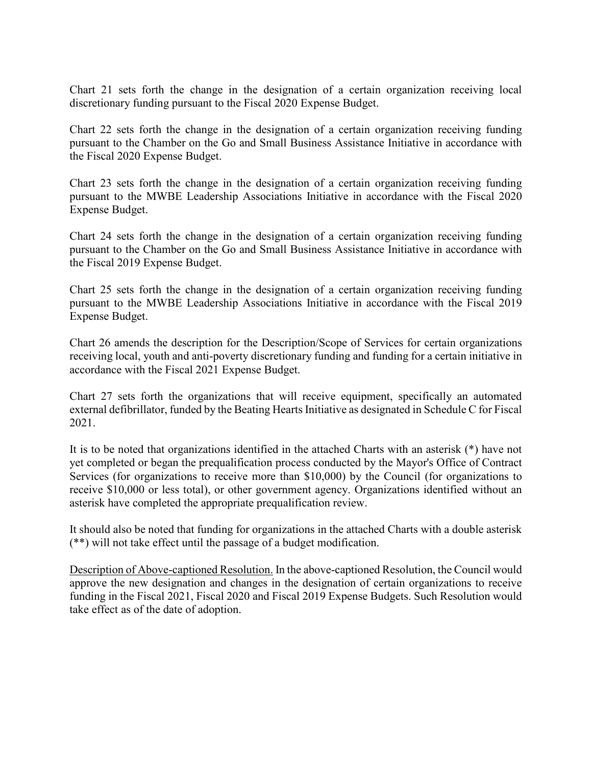Chart 21 sets forth the change in the designation of a certain organization receiving local discretionary funding pursuant to the Fiscal 2020 Expense Budget.

Chart 22 sets forth the change in the designation of a certain organization receiving funding pursuant to the Chamber on the Go and Small Business Assistance Initiative in accordance with the Fiscal 2020 Expense Budget.

Chart 23 sets forth the change in the designation of a certain organization receiving funding pursuant to the MWBE Leadership Associations Initiative in accordance with the Fiscal 2020 Expense Budget.

Chart 24 sets forth the change in the designation of a certain organization receiving funding pursuant to the Chamber on the Go and Small Business Assistance Initiative in accordance with the Fiscal 2019 Expense Budget.

Chart 25 sets forth the change in the designation of a certain organization receiving funding pursuant to the MWBE Leadership Associations Initiative in accordance with the Fiscal 2019 Expense Budget.

Chart 26 amends the description for the Description/Scope of Services for certain organizations receiving local, youth and anti-poverty discretionary funding and funding for a certain initiative in accordance with the Fiscal 2021 Expense Budget.

Chart 27 sets forth the organizations that will receive equipment, specifically an automated external defibrillator, funded by the Beating Hearts Initiative as designated in Schedule C for Fiscal 2021.

It is to be noted that organizations identified in the attached Charts with an asterisk (\*) have not yet completed or began the prequalification process conducted by the Mayor's Office of Contract Services (for organizations to receive more than \$10,000) by the Council (for organizations to receive \$10,000 or less total), or other government agency. Organizations identified without an asterisk have completed the appropriate prequalification review.

It should also be noted that funding for organizations in the attached Charts with a double asterisk (\*\*) will not take effect until the passage of a budget modification.

Description of Above-captioned Resolution. In the above-captioned Resolution, the Council would approve the new designation and changes in the designation of certain organizations to receive funding in the Fiscal 2021, Fiscal 2020 and Fiscal 2019 Expense Budgets. Such Resolution would take effect as of the date of adoption.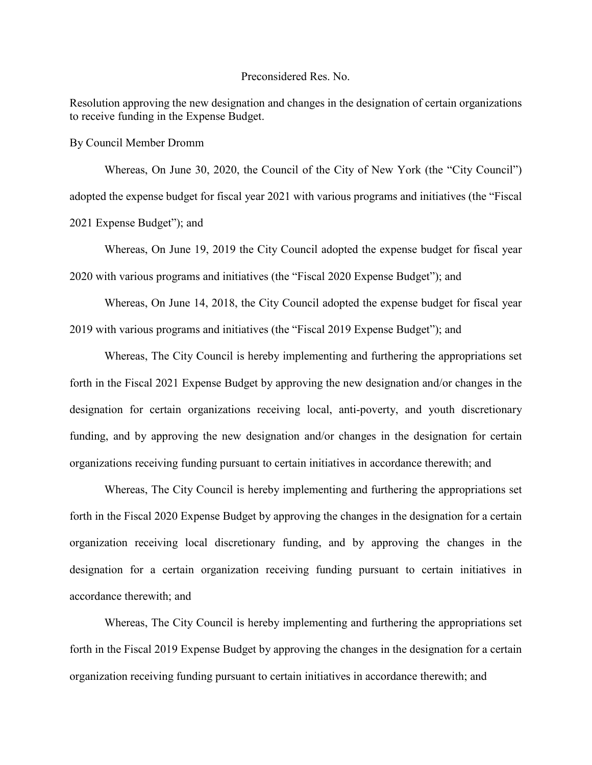### Preconsidered Res. No.

Resolution approving the new designation and changes in the designation of certain organizations to receive funding in the Expense Budget.

By Council Member Dromm

Whereas, On June 30, 2020, the Council of the City of New York (the "City Council") adopted the expense budget for fiscal year 2021 with various programs and initiatives (the "Fiscal 2021 Expense Budget"); and

Whereas, On June 19, 2019 the City Council adopted the expense budget for fiscal year 2020 with various programs and initiatives (the "Fiscal 2020 Expense Budget"); and

Whereas, On June 14, 2018, the City Council adopted the expense budget for fiscal year 2019 with various programs and initiatives (the "Fiscal 2019 Expense Budget"); and

Whereas, The City Council is hereby implementing and furthering the appropriations set forth in the Fiscal 2021 Expense Budget by approving the new designation and/or changes in the designation for certain organizations receiving local, anti-poverty, and youth discretionary funding, and by approving the new designation and/or changes in the designation for certain organizations receiving funding pursuant to certain initiatives in accordance therewith; and

Whereas, The City Council is hereby implementing and furthering the appropriations set forth in the Fiscal 2020 Expense Budget by approving the changes in the designation for a certain organization receiving local discretionary funding, and by approving the changes in the designation for a certain organization receiving funding pursuant to certain initiatives in accordance therewith; and

Whereas, The City Council is hereby implementing and furthering the appropriations set forth in the Fiscal 2019 Expense Budget by approving the changes in the designation for a certain organization receiving funding pursuant to certain initiatives in accordance therewith; and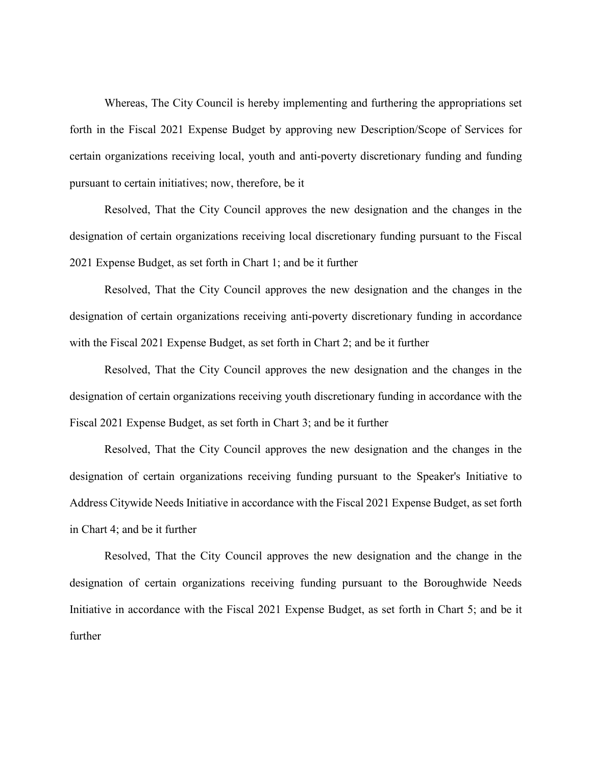Whereas, The City Council is hereby implementing and furthering the appropriations set forth in the Fiscal 2021 Expense Budget by approving new Description/Scope of Services for certain organizations receiving local, youth and anti-poverty discretionary funding and funding pursuant to certain initiatives; now, therefore, be it

Resolved, That the City Council approves the new designation and the changes in the designation of certain organizations receiving local discretionary funding pursuant to the Fiscal 2021 Expense Budget, as set forth in Chart 1; and be it further

Resolved, That the City Council approves the new designation and the changes in the designation of certain organizations receiving anti-poverty discretionary funding in accordance with the Fiscal 2021 Expense Budget, as set forth in Chart 2; and be it further

Resolved, That the City Council approves the new designation and the changes in the designation of certain organizations receiving youth discretionary funding in accordance with the Fiscal 2021 Expense Budget, as set forth in Chart 3; and be it further

Resolved, That the City Council approves the new designation and the changes in the designation of certain organizations receiving funding pursuant to the Speaker's Initiative to Address Citywide Needs Initiative in accordance with the Fiscal 2021 Expense Budget, as set forth in Chart 4; and be it further

Resolved, That the City Council approves the new designation and the change in the designation of certain organizations receiving funding pursuant to the Boroughwide Needs Initiative in accordance with the Fiscal 2021 Expense Budget, as set forth in Chart 5; and be it further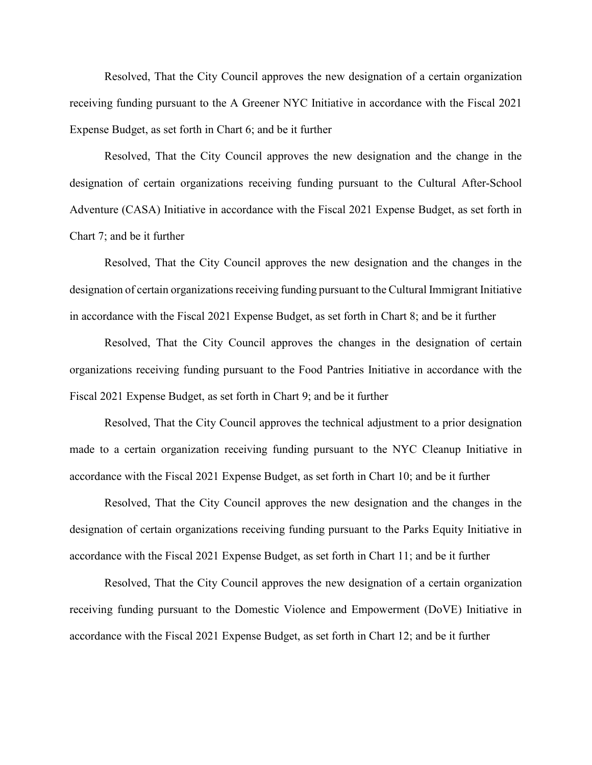Resolved, That the City Council approves the new designation of a certain organization receiving funding pursuant to the A Greener NYC Initiative in accordance with the Fiscal 2021 Expense Budget, as set forth in Chart 6; and be it further

Resolved, That the City Council approves the new designation and the change in the designation of certain organizations receiving funding pursuant to the Cultural After-School Adventure (CASA) Initiative in accordance with the Fiscal 2021 Expense Budget, as set forth in Chart 7; and be it further

Resolved, That the City Council approves the new designation and the changes in the designation of certain organizations receiving funding pursuant to the Cultural Immigrant Initiative in accordance with the Fiscal 2021 Expense Budget, as set forth in Chart 8; and be it further

Resolved, That the City Council approves the changes in the designation of certain organizations receiving funding pursuant to the Food Pantries Initiative in accordance with the Fiscal 2021 Expense Budget, as set forth in Chart 9; and be it further

Resolved, That the City Council approves the technical adjustment to a prior designation made to a certain organization receiving funding pursuant to the NYC Cleanup Initiative in accordance with the Fiscal 2021 Expense Budget, as set forth in Chart 10; and be it further

Resolved, That the City Council approves the new designation and the changes in the designation of certain organizations receiving funding pursuant to the Parks Equity Initiative in accordance with the Fiscal 2021 Expense Budget, as set forth in Chart 11; and be it further

Resolved, That the City Council approves the new designation of a certain organization receiving funding pursuant to the Domestic Violence and Empowerment (DoVE) Initiative in accordance with the Fiscal 2021 Expense Budget, as set forth in Chart 12; and be it further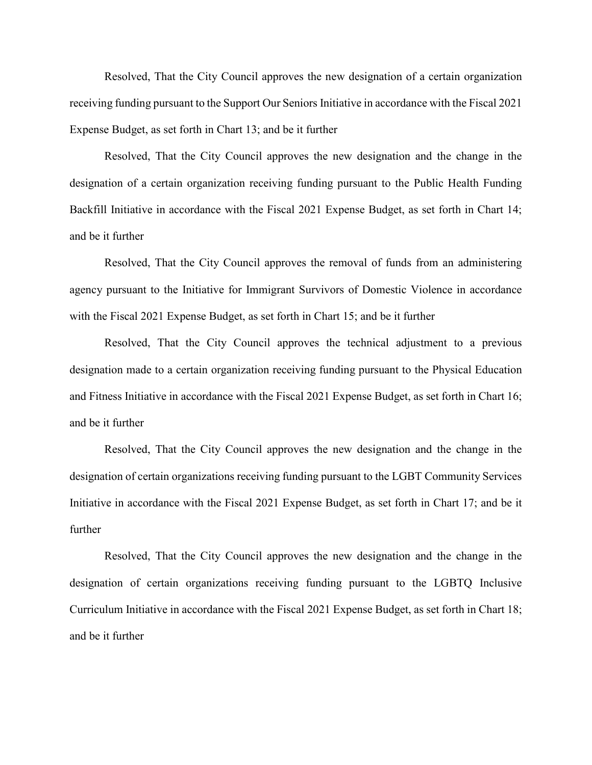Resolved, That the City Council approves the new designation of a certain organization receiving funding pursuant to the Support Our Seniors Initiative in accordance with the Fiscal 2021 Expense Budget, as set forth in Chart 13; and be it further

Resolved, That the City Council approves the new designation and the change in the designation of a certain organization receiving funding pursuant to the Public Health Funding Backfill Initiative in accordance with the Fiscal 2021 Expense Budget, as set forth in Chart 14; and be it further

Resolved, That the City Council approves the removal of funds from an administering agency pursuant to the Initiative for Immigrant Survivors of Domestic Violence in accordance with the Fiscal 2021 Expense Budget, as set forth in Chart 15; and be it further

Resolved, That the City Council approves the technical adjustment to a previous designation made to a certain organization receiving funding pursuant to the Physical Education and Fitness Initiative in accordance with the Fiscal 2021 Expense Budget, as set forth in Chart 16; and be it further

Resolved, That the City Council approves the new designation and the change in the designation of certain organizations receiving funding pursuant to the LGBT Community Services Initiative in accordance with the Fiscal 2021 Expense Budget, as set forth in Chart 17; and be it further

Resolved, That the City Council approves the new designation and the change in the designation of certain organizations receiving funding pursuant to the LGBTQ Inclusive Curriculum Initiative in accordance with the Fiscal 2021 Expense Budget, as set forth in Chart 18; and be it further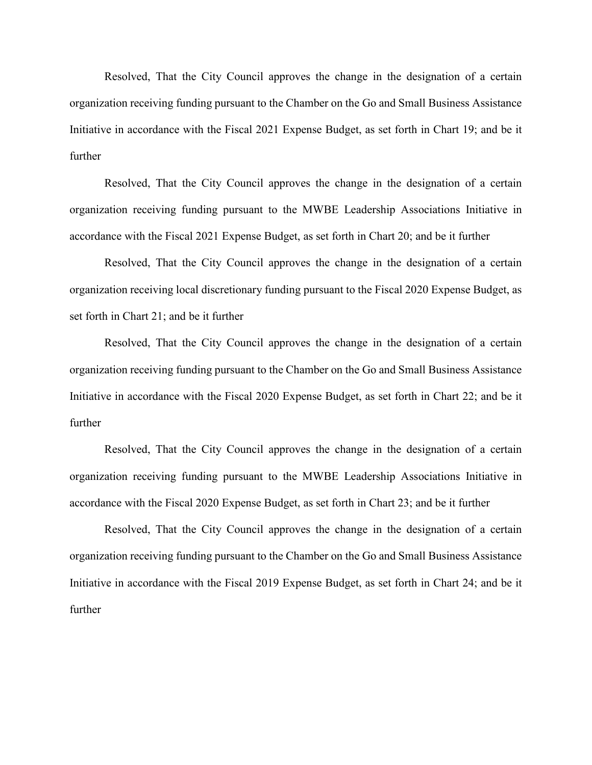Resolved, That the City Council approves the change in the designation of a certain organization receiving funding pursuant to the Chamber on the Go and Small Business Assistance Initiative in accordance with the Fiscal 2021 Expense Budget, as set forth in Chart 19; and be it further

Resolved, That the City Council approves the change in the designation of a certain organization receiving funding pursuant to the MWBE Leadership Associations Initiative in accordance with the Fiscal 2021 Expense Budget, as set forth in Chart 20; and be it further

Resolved, That the City Council approves the change in the designation of a certain organization receiving local discretionary funding pursuant to the Fiscal 2020 Expense Budget, as set forth in Chart 21; and be it further

Resolved, That the City Council approves the change in the designation of a certain organization receiving funding pursuant to the Chamber on the Go and Small Business Assistance Initiative in accordance with the Fiscal 2020 Expense Budget, as set forth in Chart 22; and be it further

Resolved, That the City Council approves the change in the designation of a certain organization receiving funding pursuant to the MWBE Leadership Associations Initiative in accordance with the Fiscal 2020 Expense Budget, as set forth in Chart 23; and be it further

Resolved, That the City Council approves the change in the designation of a certain organization receiving funding pursuant to the Chamber on the Go and Small Business Assistance Initiative in accordance with the Fiscal 2019 Expense Budget, as set forth in Chart 24; and be it further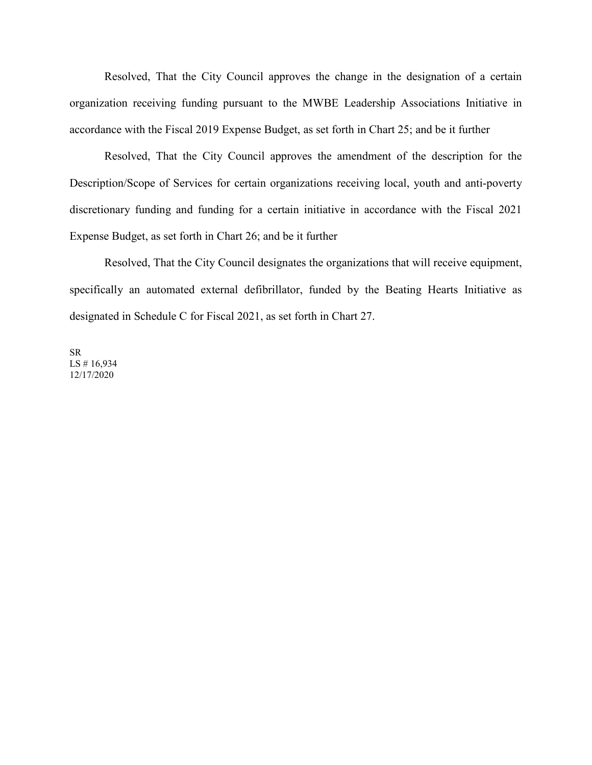Resolved, That the City Council approves the change in the designation of a certain organization receiving funding pursuant to the MWBE Leadership Associations Initiative in accordance with the Fiscal 2019 Expense Budget, as set forth in Chart 25; and be it further

Resolved, That the City Council approves the amendment of the description for the Description/Scope of Services for certain organizations receiving local, youth and anti-poverty discretionary funding and funding for a certain initiative in accordance with the Fiscal 2021 Expense Budget, as set forth in Chart 26; and be it further

Resolved, That the City Council designates the organizations that will receive equipment, specifically an automated external defibrillator, funded by the Beating Hearts Initiative as designated in Schedule C for Fiscal 2021, as set forth in Chart 27.

SR LS # 16,934 12/17/2020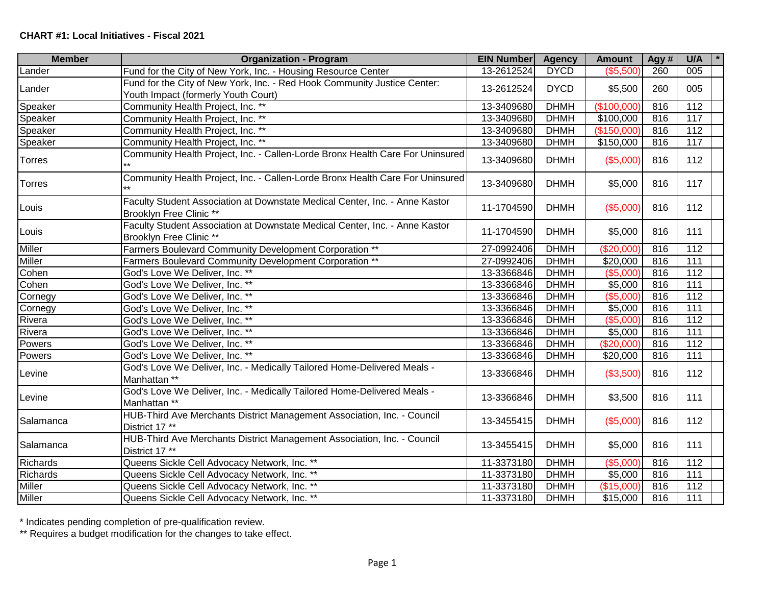| <b>Member</b> | <b>Organization - Program</b>                                                                                   | <b>EIN Number</b> | <b>Agency</b> | <b>Amount</b> | Agy # | U/A              |
|---------------|-----------------------------------------------------------------------------------------------------------------|-------------------|---------------|---------------|-------|------------------|
| Lander        | Fund for the City of New York, Inc. - Housing Resource Center                                                   | 13-2612524        | <b>DYCD</b>   | (\$5,500)     | 260   | 005              |
| Lander        | Fund for the City of New York, Inc. - Red Hook Community Justice Center:<br>Youth Impact (formerly Youth Court) | 13-2612524        | <b>DYCD</b>   | \$5,500       | 260   | 005              |
| Speaker       | Community Health Project, Inc. **                                                                               | 13-3409680        | <b>DHMH</b>   | (\$100,000    | 816   | 112              |
| Speaker       | Community Health Project, Inc. **                                                                               | 13-3409680        | <b>DHMH</b>   | \$100,000     | 816   | 117              |
| Speaker       | Community Health Project, Inc. **                                                                               | 13-3409680        | <b>DHMH</b>   | (\$150,000)   | 816   | 112              |
| Speaker       | Community Health Project, Inc. **                                                                               | 13-3409680        | <b>DHMH</b>   | \$150,000     | 816   | 117              |
| Torres        | Community Health Project, Inc. - Callen-Lorde Bronx Health Care For Uninsured                                   | 13-3409680        | <b>DHMH</b>   | (\$5,000)     | 816   | 112              |
| Torres        | Community Health Project, Inc. - Callen-Lorde Bronx Health Care For Uninsured<br>$\star\star$                   | 13-3409680        | <b>DHMH</b>   | \$5,000       | 816   | 117              |
| Louis         | Faculty Student Association at Downstate Medical Center, Inc. - Anne Kastor<br>Brooklyn Free Clinic **          | 11-1704590        | <b>DHMH</b>   | (\$5,000)     | 816   | 112              |
| Louis         | Faculty Student Association at Downstate Medical Center, Inc. - Anne Kastor<br>Brooklyn Free Clinic **          | 11-1704590        | <b>DHMH</b>   | \$5,000       | 816   | 111              |
| Miller        | Farmers Boulevard Community Development Corporation **                                                          | 27-0992406        | <b>DHMH</b>   | (\$20,000]    | 816   | 112              |
| Miller        | Farmers Boulevard Community Development Corporation **                                                          | 27-0992406        | <b>DHMH</b>   | \$20,000      | 816   | 111              |
| Cohen         | God's Love We Deliver, Inc. **                                                                                  | 13-3366846        | <b>DHMH</b>   | (\$5,000)     | 816   | 112              |
| Cohen         | God's Love We Deliver, Inc. **                                                                                  | 13-3366846        | <b>DHMH</b>   | \$5,000       | 816   | $\overline{111}$ |
| Cornegy       | God's Love We Deliver, Inc. **                                                                                  | 13-3366846        | <b>DHMH</b>   | (\$5,000"     | 816   | 112              |
| Cornegy       | God's Love We Deliver, Inc. **                                                                                  | 13-3366846        | <b>DHMH</b>   | \$5,000       | 816   | 111              |
| Rivera        | God's Love We Deliver, Inc. **                                                                                  | 13-3366846        | <b>DHMH</b>   | (\$5,000)     | 816   | $\frac{11}{2}$   |
| Rivera        | God's Love We Deliver, Inc. **                                                                                  | 13-3366846        | <b>DHMH</b>   | \$5,000       | 816   | $\overline{111}$ |
| Powers        | God's Love We Deliver, Inc. **                                                                                  | 13-3366846        | <b>DHMH</b>   | (\$20,000)    | 816   | 112              |
| Powers        | God's Love We Deliver, Inc. **                                                                                  | 13-3366846        | <b>DHMH</b>   | \$20,000      | 816   | 111              |
| Levine        | God's Love We Deliver, Inc. - Medically Tailored Home-Delivered Meals -<br>Manhattan **                         | 13-3366846        | <b>DHMH</b>   | (\$3,500)     | 816   | 112              |
| Levine        | God's Love We Deliver, Inc. - Medically Tailored Home-Delivered Meals -<br>Manhattan **                         | 13-3366846        | <b>DHMH</b>   | \$3,500       | 816   | 111              |
| Salamanca     | HUB-Third Ave Merchants District Management Association, Inc. - Council<br>District 17 **                       | 13-3455415        | <b>DHMH</b>   | (\$5,000)     | 816   | 112              |
| Salamanca     | HUB-Third Ave Merchants District Management Association, Inc. - Council<br>District 17 **                       | 13-3455415        | <b>DHMH</b>   | \$5,000       | 816   | 111              |
| Richards      | Queens Sickle Cell Advocacy Network, Inc. **                                                                    | 11-3373180        | <b>DHMH</b>   | (\$5,000)     | 816   | 112              |
| Richards      | Queens Sickle Cell Advocacy Network, Inc. **                                                                    | 11-3373180        | <b>DHMH</b>   | \$5,000       | 816   | 111              |
| Miller        | Queens Sickle Cell Advocacy Network, Inc. **                                                                    | 11-3373180        | <b>DHMH</b>   | (\$15,000)    | 816   | 112              |
| Miller        | Queens Sickle Cell Advocacy Network, Inc. **                                                                    | 11-3373180        | <b>DHMH</b>   | \$15,000      | 816   | $\overline{111}$ |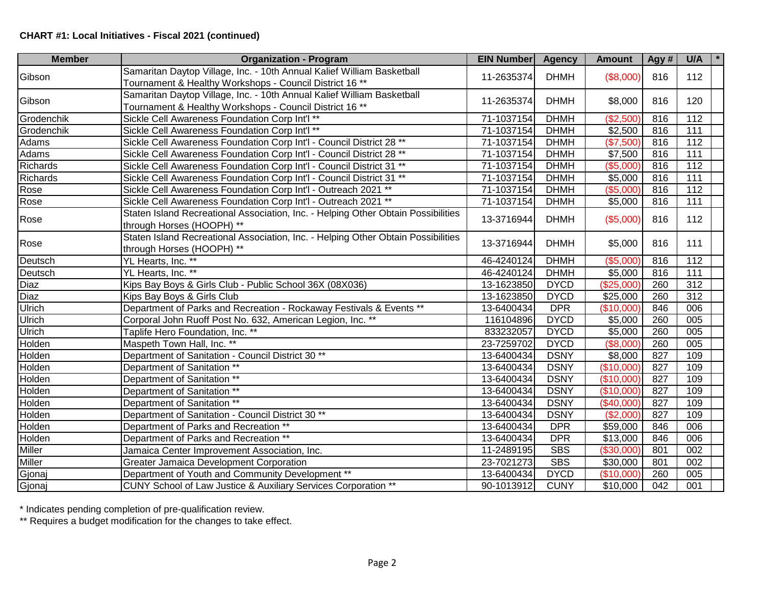| <b>Member</b> | <b>Organization - Program</b>                                                                                                     | <b>EIN Number</b> | <b>Agency</b> | <b>Amount</b> | Agy#             | U/A<br>$\star$   |
|---------------|-----------------------------------------------------------------------------------------------------------------------------------|-------------------|---------------|---------------|------------------|------------------|
| Gibson        | Samaritan Daytop Village, Inc. - 10th Annual Kalief William Basketball<br>Tournament & Healthy Workshops - Council District 16 ** | 11-2635374        | <b>DHMH</b>   | (\$8,000)     | 816              | 112              |
| Gibson        | Samaritan Daytop Village, Inc. - 10th Annual Kalief William Basketball<br>Tournament & Healthy Workshops - Council District 16 ** | 11-2635374        | <b>DHMH</b>   | \$8,000       | 816              | 120              |
| Grodenchik    | Sickle Cell Awareness Foundation Corp Int'l **                                                                                    | 71-1037154        | <b>DHMH</b>   | (\$2,500)     | 816              | 112              |
| Grodenchik    | Sickle Cell Awareness Foundation Corp Int'l **                                                                                    | 71-1037154        | <b>DHMH</b>   | \$2,500       | 816              | 111              |
| <b>Adams</b>  | Sickle Cell Awareness Foundation Corp Int'l - Council District 28 **                                                              | 71-1037154        | <b>DHMH</b>   | (\$7,500)     | 816              | $\frac{11}{2}$   |
| <b>Adams</b>  | Sickle Cell Awareness Foundation Corp Int'l - Council District 28 **                                                              | 71-1037154        | <b>DHMH</b>   | \$7,500       | 816              | $\overline{111}$ |
| Richards      | Sickle Cell Awareness Foundation Corp Int'l - Council District 31 **                                                              | 71-1037154        | <b>DHMH</b>   | (\$5,000)     | 816              | $\frac{11}{2}$   |
| Richards      | Sickle Cell Awareness Foundation Corp Int'l - Council District 31 **                                                              | 71-1037154        | <b>DHMH</b>   | \$5,000       | 816              | 111              |
| Rose          | Sickle Cell Awareness Foundation Corp Int'l - Outreach 2021 **                                                                    | 71-1037154        | <b>DHMH</b>   | (\$5,000)     | 816              | $\frac{11}{2}$   |
| Rose          | Sickle Cell Awareness Foundation Corp Int'l - Outreach 2021 **                                                                    | 71-1037154        | <b>DHMH</b>   | \$5,000       | 816              | $\overline{111}$ |
| Rose          | Staten Island Recreational Association, Inc. - Helping Other Obtain Possibilities<br>through Horses (HOOPH) **                    | 13-3716944        | <b>DHMH</b>   | (\$5,000)     | 816              | 112              |
| Rose          | Staten Island Recreational Association, Inc. - Helping Other Obtain Possibilities<br>through Horses (HOOPH) **                    | 13-3716944        | <b>DHMH</b>   | \$5,000       | 816              | 111              |
| Deutsch       | YL Hearts, Inc. **                                                                                                                | 46-4240124        | <b>DHMH</b>   | (\$5,000)     | 816              | $\frac{11}{2}$   |
| Deutsch       | YL Hearts, Inc. **                                                                                                                | 46-4240124        | <b>DHMH</b>   | \$5,000       | 816              | $\overline{111}$ |
| Diaz          | Kips Bay Boys & Girls Club - Public School 36X (08X036)                                                                           | 13-1623850        | <b>DYCD</b>   | (\$25,000)    | 260              | 312              |
| Diaz          | Kips Bay Boys & Girls Club                                                                                                        | 13-1623850        | <b>DYCD</b>   | \$25,000      | 260              | 312              |
| Ulrich        | Department of Parks and Recreation - Rockaway Festivals & Events **                                                               | 13-6400434        | <b>DPR</b>    | (\$10,000)    | 846              | 006              |
| Ulrich        | Corporal John Ruoff Post No. 632, American Legion, Inc. **                                                                        | 116104896         | <b>DYCD</b>   | \$5,000       | 260              | 005              |
| Ulrich        | Taplife Hero Foundation, Inc. **                                                                                                  | 833232057         | <b>DYCD</b>   | \$5,000       | 260              | 005              |
| Holden        | Maspeth Town Hall, Inc. **                                                                                                        | 23-7259702        | <b>DYCD</b>   | (\$8,000)     | 260              | 005              |
| Holden        | Department of Sanitation - Council District 30 <sup>**</sup>                                                                      | 13-6400434        | <b>DSNY</b>   | \$8,000       | 827              | 109              |
| Holden        | Department of Sanitation **                                                                                                       | 13-6400434        | <b>DSNY</b>   | (\$10,000)    | 827              | 109              |
| Holden        | Department of Sanitation **                                                                                                       | 13-6400434        | <b>DSNY</b>   | (\$10,000)    | 827              | 109              |
| Holden        | Department of Sanitation **                                                                                                       | 13-6400434        | <b>DSNY</b>   | $(*10,000)$   | 827              | 109              |
| Holden        | Department of Sanitation **                                                                                                       | 13-6400434        | <b>DSNY</b>   | (\$40,000)    | 827              | 109              |
| Holden        | Department of Sanitation - Council District 30 **                                                                                 | 13-6400434        | <b>DSNY</b>   | (\$2,000)     | 827              | 109              |
| Holden        | Department of Parks and Recreation **                                                                                             | 13-6400434        | <b>DPR</b>    | \$59,000      | 846              | 006              |
| Holden        | Department of Parks and Recreation **                                                                                             | 13-6400434        | <b>DPR</b>    | \$13,000      | 846              | 006              |
| Miller        | Jamaica Center Improvement Association, Inc.                                                                                      | 11-2489195        | <b>SBS</b>    | (\$30,000)    | 801              | 002              |
| Miller        | <b>Greater Jamaica Development Corporation</b>                                                                                    | 23-7021273        | <b>SBS</b>    | \$30,000      | 801              | 002              |
| Gjonaj        | Department of Youth and Community Development **                                                                                  | 13-6400434        | <b>DYCD</b>   | (\$10,000)    | 260              | 005              |
| Gjonaj        | CUNY School of Law Justice & Auxiliary Services Corporation **                                                                    | 90-1013912        | <b>CUNY</b>   | \$10,000      | $\overline{042}$ | 001              |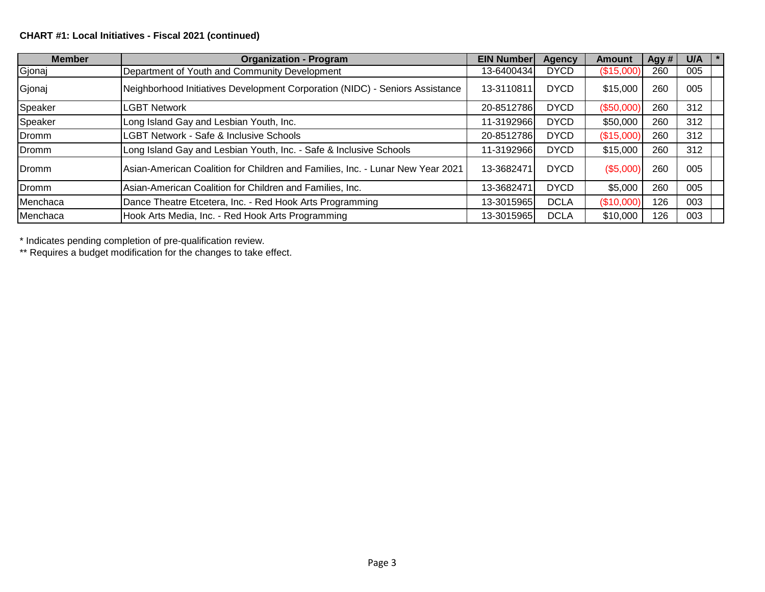## **CHART #1: Local Initiatives - Fiscal 2021 (continued)**

| <b>Member</b> | <b>Organization - Program</b>                                                  | <b>EIN Number</b> | <b>Agency</b> | <b>Amount</b> | Agy # | $\star$<br>U/A |
|---------------|--------------------------------------------------------------------------------|-------------------|---------------|---------------|-------|----------------|
| Gjonaj        | Department of Youth and Community Development                                  | 13-6400434        | <b>DYCD</b>   | (\$15,000)    | 260   | 005            |
| Gjonaj        | Neighborhood Initiatives Development Corporation (NIDC) - Seniors Assistance   | 13-3110811        | <b>DYCD</b>   | \$15,000      | 260   | 005            |
| Speaker       | LGBT Network                                                                   | 20-8512786        | <b>DYCD</b>   | (\$50,000)    | 260   | 312            |
| Speaker       | Long Island Gay and Lesbian Youth, Inc.                                        | 11-3192966        | <b>DYCD</b>   | \$50,000      | 260   | 312            |
| <b>IDromm</b> | <b>LGBT Network - Safe &amp; Inclusive Schools</b>                             | 20-8512786        | <b>DYCD</b>   | (\$15,000)    | 260   | 312            |
| Dromm         | Long Island Gay and Lesbian Youth, Inc. - Safe & Inclusive Schools             | 11-3192966        | <b>DYCD</b>   | \$15,000      | 260   | 312            |
| Dromm         | Asian-American Coalition for Children and Families, Inc. - Lunar New Year 2021 | 13-3682471        | <b>DYCD</b>   | (\$5,000)     | 260   | 005            |
| Dromm         | Asian-American Coalition for Children and Families, Inc.                       | 13-3682471        | <b>DYCD</b>   | \$5,000       | 260   | 005            |
| Menchaca      | Dance Theatre Etcetera, Inc. - Red Hook Arts Programming                       | 13-3015965        | <b>DCLA</b>   | (\$10,000)    | 126   | 003            |
| Menchaca      | Hook Arts Media, Inc. - Red Hook Arts Programming                              | 13-3015965        | <b>DCLA</b>   | \$10,000      | 126   | 003            |

\* Indicates pending completion of pre-qualification review.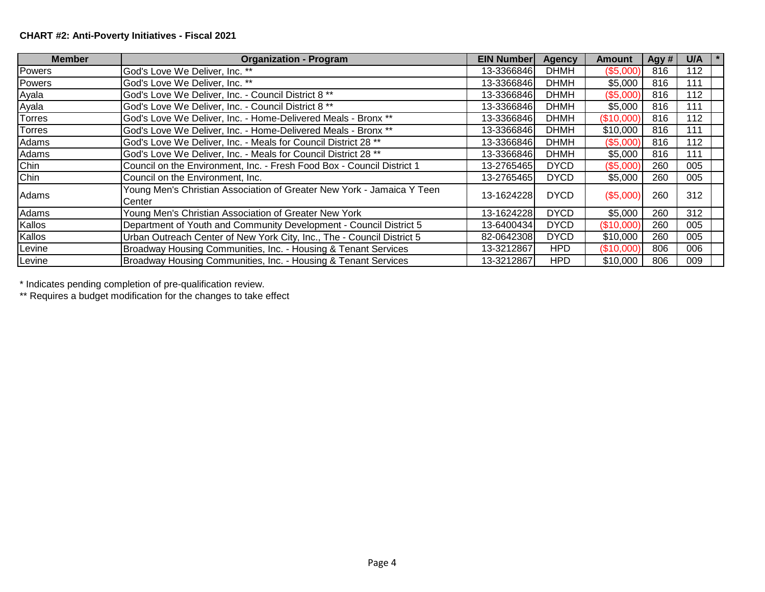# **CHART #2: Anti-Poverty Initiatives - Fiscal 2021**

| <b>Member</b> | <b>Organization - Program</b>                                                    | <b>EIN Number</b> | <b>Agency</b> | Amount     | Agy # | U/A |
|---------------|----------------------------------------------------------------------------------|-------------------|---------------|------------|-------|-----|
| Powers        | God's Love We Deliver, Inc. **                                                   | 13-3366846        | <b>DHMH</b>   | (\$5,000)  | 816   | 112 |
| Powers        | God's Love We Deliver, Inc. **                                                   | 13-3366846        | <b>DHMH</b>   | \$5,000    | 816   | 111 |
| Ayala         | God's Love We Deliver, Inc. - Council District 8 **                              | 13-3366846        | <b>DHMH</b>   | (\$5,000)  | 816   | 112 |
| Ayala         | God's Love We Deliver, Inc. - Council District 8 **                              | 13-3366846        | <b>DHMH</b>   | \$5,000    | 816   | 111 |
| Torres        | God's Love We Deliver, Inc. - Home-Delivered Meals - Bronx **                    | 13-3366846        | <b>DHMH</b>   | (\$10,000) | 816   | 112 |
| Torres        | God's Love We Deliver, Inc. - Home-Delivered Meals - Bronx **                    | 13-3366846        | <b>DHMH</b>   | \$10,000   | 816   | 111 |
| Adams         | God's Love We Deliver, Inc. - Meals for Council District 28 **                   | 13-3366846        | <b>DHMH</b>   | (\$5,000)  | 816   | 112 |
| Adams         | God's Love We Deliver, Inc. - Meals for Council District 28 **                   | 13-3366846        | <b>DHMH</b>   | \$5,000    | 816   | 111 |
| Chin          | Council on the Environment, Inc. - Fresh Food Box - Council District 1           | 13-2765465        | <b>DYCD</b>   | (\$5,000)  | 260   | 005 |
| <b>Chin</b>   | Council on the Environment, Inc.                                                 | 13-2765465        | <b>DYCD</b>   | \$5,000    | 260   | 005 |
| <b>Adams</b>  | Young Men's Christian Association of Greater New York - Jamaica Y Teen<br>Center | 13-1624228        | <b>DYCD</b>   | (\$5,000)  | 260   | 312 |
| Adams         | Young Men's Christian Association of Greater New York                            | 13-1624228        | <b>DYCD</b>   | \$5,000    | 260   | 312 |
| Kallos        | Department of Youth and Community Development - Council District 5               | 13-6400434        | <b>DYCD</b>   | (\$10,000) | 260   | 005 |
| Kallos        | Urban Outreach Center of New York City, Inc., The - Council District 5           | 82-0642308        | <b>DYCD</b>   | \$10,000   | 260   | 005 |
| Levine        | Broadway Housing Communities, Inc. - Housing & Tenant Services                   | 13-3212867        | HPD           | (\$10,000) | 806   | 006 |
| Levine        | Broadway Housing Communities, Inc. - Housing & Tenant Services                   | 13-3212867        | <b>HPD</b>    | \$10,000   | 806   | 009 |

\* Indicates pending completion of pre-qualification review.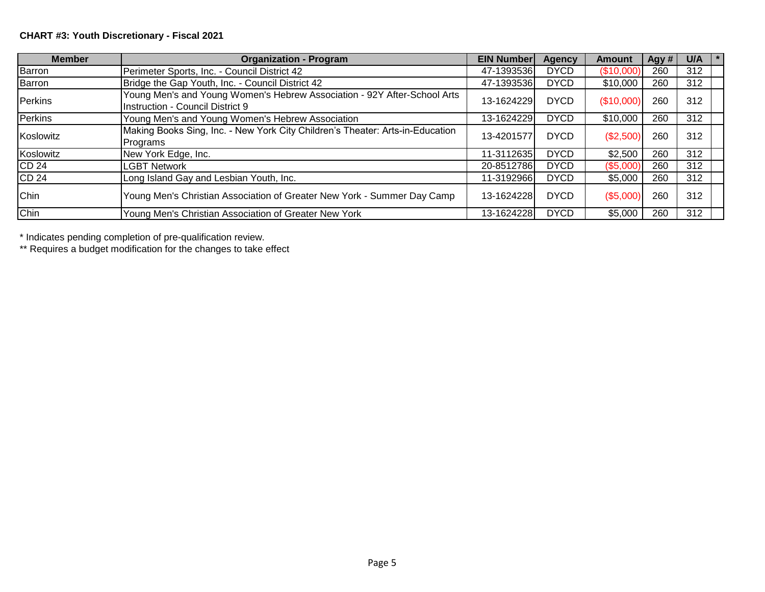# **CHART #3: Youth Discretionary - Fiscal 2021**

| <b>Member</b>    | <b>Organization - Program</b>                                                                                       | <b>EIN Number</b> | Agency      | <b>Amount</b> | Agy # | U/A | $\vert * \vert$ |
|------------------|---------------------------------------------------------------------------------------------------------------------|-------------------|-------------|---------------|-------|-----|-----------------|
| Barron           | Perimeter Sports, Inc. - Council District 42                                                                        | 47-1393536        | <b>DYCD</b> | (\$10,000     | 260   | 312 |                 |
| Barron           | Bridge the Gap Youth, Inc. - Council District 42                                                                    | 47-1393536        | <b>DYCD</b> | \$10,000      | 260   | 312 |                 |
| Perkins          | Young Men's and Young Women's Hebrew Association - 92Y After-School Arts<br><b>Instruction - Council District 9</b> | 13-1624229        | <b>DYCD</b> | (\$10,000)    | 260   | 312 |                 |
| Perkins          | Young Men's and Young Women's Hebrew Association                                                                    | 13-1624229        | <b>DYCD</b> | \$10,000      | 260   | 312 |                 |
| Koslowitz        | Making Books Sing, Inc. - New York City Children's Theater: Arts-in-Education<br>Programs                           | 13-4201577        | <b>DYCD</b> | (\$2,500)     | 260   | 312 |                 |
| Koslowitz        | New York Edge, Inc.                                                                                                 | 11-3112635        | <b>DYCD</b> | \$2,500       | 260   | 312 |                 |
| ICD 24           | <b>LGBT Network</b>                                                                                                 | 20-8512786        | <b>DYCD</b> | (\$5,000)     | 260   | 312 |                 |
| CD <sub>24</sub> | Long Island Gay and Lesbian Youth, Inc.                                                                             | 11-3192966        | <b>DYCD</b> | \$5,000       | 260   | 312 |                 |
| Chin             | Young Men's Christian Association of Greater New York - Summer Day Camp                                             | 13-1624228        | <b>DYCD</b> | (\$5,000)     | 260   | 312 |                 |
| <b>Chin</b>      | Young Men's Christian Association of Greater New York                                                               | 13-1624228        | <b>DYCD</b> | \$5,000       | 260   | 312 |                 |

\* Indicates pending completion of pre-qualification review.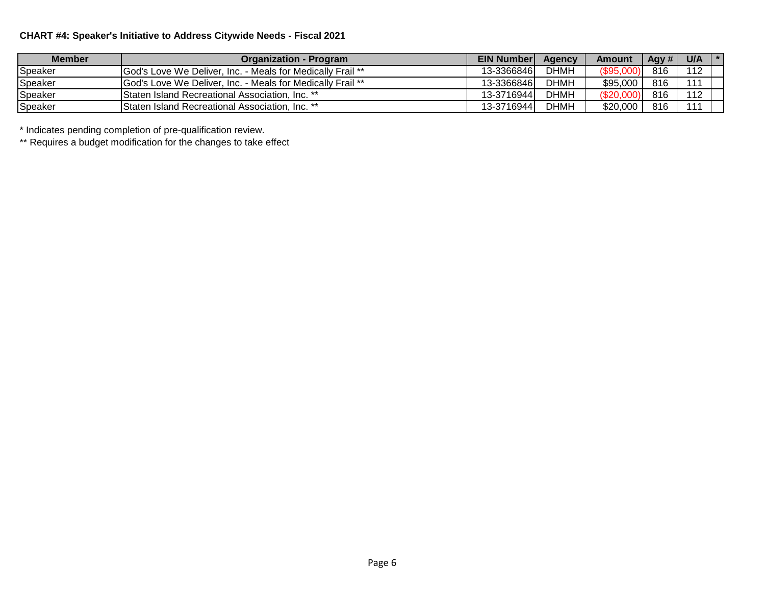## **CHART #4: Speaker's Initiative to Address Citywide Needs - Fiscal 2021**

| <b>Member</b> | <b>Organization - Program</b>                                     | <b>EIN Numberl</b> | Agency      | <b>Amount</b>     | Agy # | U/A | $\mathbf{1}$ $\ast$ |
|---------------|-------------------------------------------------------------------|--------------------|-------------|-------------------|-------|-----|---------------------|
| Speaker       | IGod's Love We Deliver. Inc. - Meals for Medically Frail **       | 13-3366846         | <b>DHMH</b> | <b>(\$95,00L)</b> | 816   | 112 |                     |
| Speaker       | <b>God's Love We Deliver, Inc. - Meals for Medically Frail **</b> | 13-3366846         | DHMH        | \$95,000          | 816   | 111 |                     |
| Speaker       | <b>I</b> Staten Island Recreational Association. Inc. **          | 13-3716944         | <b>DHMH</b> | \$20,0            | 816   | 112 |                     |
| Speaker       | <b>I</b> Staten Island Recreational Association. Inc. **          | 13-3716944         | DHMH        | \$20,000          | 816   | 111 |                     |

\* Indicates pending completion of pre-qualification review.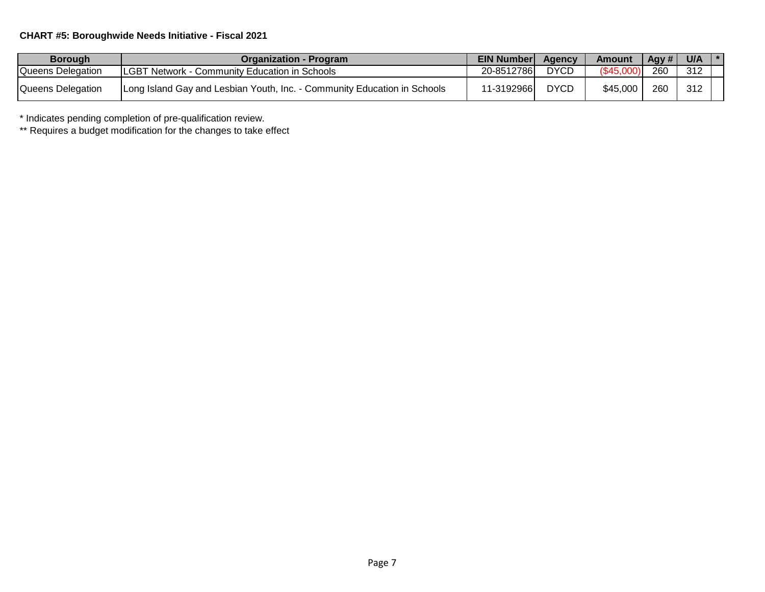## **CHART #5: Boroughwide Needs Initiative - Fiscal 2021**

| <b>Borough</b>    | <b>Organization - Program</b>                                            | <b>EIN Number</b> | Agency      | Amount   | Agy $\#$ | U/A | $\mathbf{1}$ $\ast$ |
|-------------------|--------------------------------------------------------------------------|-------------------|-------------|----------|----------|-----|---------------------|
| Queens Delegation | <b>LGBT Network - Community Education in Schools</b>                     | 20-8512786        | <b>DYCD</b> | (S45.0)  | 260      | 312 |                     |
| Queens Delegation | Long Island Gay and Lesbian Youth, Inc. - Community Education in Schools | 11-3192966        | <b>DYCD</b> | \$45,000 | 260      | 312 |                     |

\* Indicates pending completion of pre-qualification review.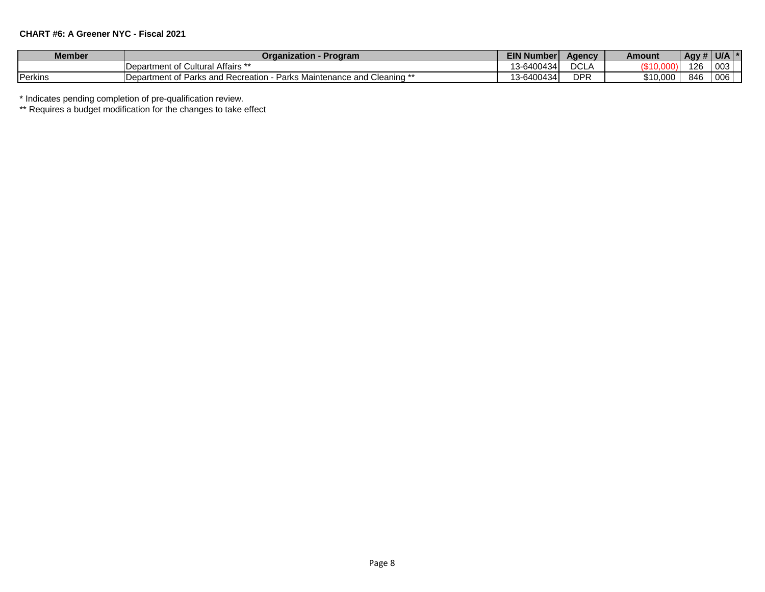#### **CHART #6: A Greener NYC - Fiscal 2021**

| <b>Member</b> | Organization - Program                                                                      | EIN N<br>Number <b>1</b> | Aaencv              | Amount   | Agy # $ $ U/A |     |  |
|---------------|---------------------------------------------------------------------------------------------|--------------------------|---------------------|----------|---------------|-----|--|
|               | <b>IDepartment of Cultural Affairs **</b>                                                   | 13-6400434               | וחח<br>- 43<br>シマレー |          | 126           | 003 |  |
| Perkins       | · Parks Maintenance and C<br><sup>**</sup> Cleaning<br>Department of Parks and Recreation - | 13-6400434               | <b>DPR</b>          | \$10.000 | 846           | 006 |  |

\* Indicates pending completion of pre-qualification review.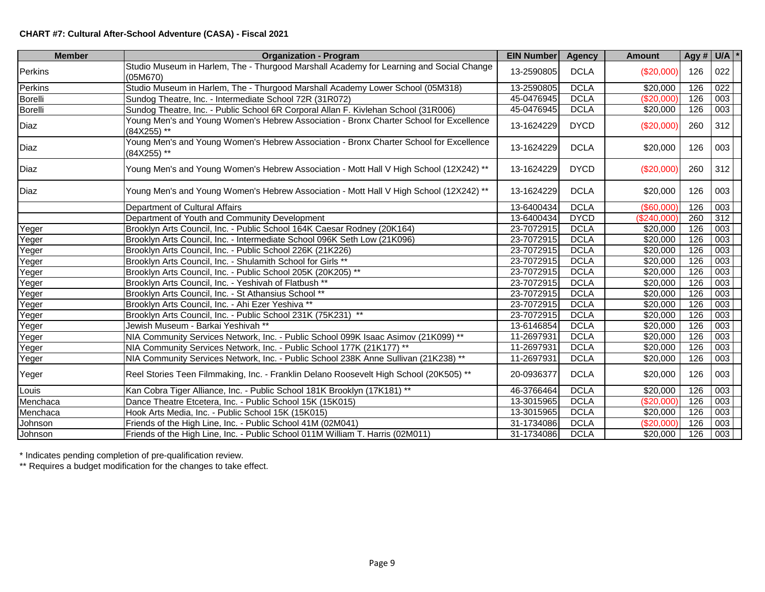### **CHART #7: Cultural After-School Adventure (CASA) - Fiscal 2021**

| <b>Member</b>  | <b>Organization - Program</b>                                                                         | <b>EIN Number</b> | <b>Agency</b> | <b>Amount</b>    | Agy # $U/A$ * |                  |  |
|----------------|-------------------------------------------------------------------------------------------------------|-------------------|---------------|------------------|---------------|------------------|--|
| Perkins        | Studio Museum in Harlem, The - Thurgood Marshall Academy for Learning and Social Change<br>(05M670)   | 13-2590805        | <b>DCLA</b>   | (\$20,000)       | 126           | 022              |  |
| Perkins        | Studio Museum in Harlem, The - Thurgood Marshall Academy Lower School (05M318)                        | 13-2590805        | <b>DCLA</b>   | $\sqrt{$20,000}$ | 126           | $\overline{022}$ |  |
| <b>Borelli</b> | Sundog Theatre, Inc. - Intermediate School 72R (31R072)                                               | 45-0476945        | <b>DCLA</b>   | ( \$20,000)      | 126           | 003              |  |
| Borelli        | Sundog Theatre, Inc. - Public School 6R Corporal Allan F. Kivlehan School (31R006)                    | 45-0476945        | <b>DCLA</b>   | \$20,000         | 126           | 003              |  |
| Diaz           | Young Men's and Young Women's Hebrew Association - Bronx Charter School for Excellence<br>(84X255) ** | 13-1624229        | <b>DYCD</b>   | (\$20,000)       | 260           | 312              |  |
| Diaz           | Young Men's and Young Women's Hebrew Association - Bronx Charter School for Excellence<br>(84X255) ** | 13-1624229        | <b>DCLA</b>   | \$20,000         | 126           | 003              |  |
| Diaz           | Young Men's and Young Women's Hebrew Association - Mott Hall V High School (12X242) **                | 13-1624229        | <b>DYCD</b>   | (\$20,000)       | 260           | 312              |  |
| Diaz           | Young Men's and Young Women's Hebrew Association - Mott Hall V High School (12X242) **                | 13-1624229        | <b>DCLA</b>   | \$20,000         | 126           | 003              |  |
|                | Department of Cultural Affairs                                                                        | 13-6400434        | <b>DCLA</b>   | $($ \$60,000)    | 126           | 003              |  |
|                | Department of Youth and Community Development                                                         | 13-6400434        | <b>DYCD</b>   | (\$240,000)      | 260           | $\overline{312}$ |  |
| Yeger          | Brooklyn Arts Council, Inc. - Public School 164K Caesar Rodney (20K164)                               | 23-7072915        | <b>DCLA</b>   | \$20,000         | 126           | $\overline{003}$ |  |
| Yeger          | Brooklyn Arts Council, Inc. - Intermediate School 096K Seth Low (21K096)                              | 23-7072915        | <b>DCLA</b>   | \$20,000         | 126           | 003              |  |
| Yeger          | Brooklyn Arts Council, Inc. - Public School 226K (21K226)                                             | 23-7072915        | <b>DCLA</b>   | $\sqrt{$20,000}$ | 126           | 003              |  |
| Yeger          | Brooklyn Arts Council, Inc. - Shulamith School for Girls **                                           | 23-7072915        | <b>DCLA</b>   | $\sqrt{$20,000}$ | 126           | $\overline{003}$ |  |
| Yeger          | Brooklyn Arts Council, Inc. - Public School 205K (20K205) **                                          | 23-7072915        | <b>DCLA</b>   | \$20,000         | 126           | 003              |  |
| Yeger          | Brooklyn Arts Council, Inc. - Yeshivah of Flatbush **                                                 | 23-7072915        | <b>DCLA</b>   | \$20,000         | 126           | 003              |  |
| Yeger          | Brooklyn Arts Council, Inc. - St Athansius School **                                                  | 23-7072915        | <b>DCLA</b>   | \$20,000         | 126           | 003              |  |
| Yeger          | Brooklyn Arts Council, Inc. - Ahi Ezer Yeshiva **                                                     | 23-7072915        | <b>DCLA</b>   | \$20,000         | 126           | 003              |  |
| Yeger          | Brooklyn Arts Council, Inc. - Public School 231K (75K231)                                             | 23-7072915        | <b>DCLA</b>   | \$20,000         | 126           | 003              |  |
| Yeger          | Jewish Museum - Barkai Yeshivah **                                                                    | 13-6146854        | <b>DCLA</b>   | \$20,000         | 126           | $\overline{003}$ |  |
| Yeger          | NIA Community Services Network, Inc. - Public School 099K Isaac Asimov (21K099) **                    | 11-2697931        | <b>DCLA</b>   | \$20,000         | 126           | 003              |  |
| Yeger          | NIA Community Services Network, Inc. - Public School 177K (21K177) **                                 | 11-2697931        | <b>DCLA</b>   | \$20,000         | 126           | 003              |  |
| Yeger          | NIA Community Services Network, Inc. - Public School 238K Anne Sullivan (21K238) **                   | 11-2697931        | <b>DCLA</b>   | \$20,000         | 126           | 003              |  |
| Yeger          | Reel Stories Teen Filmmaking, Inc. - Franklin Delano Roosevelt High School (20K505) **                | 20-0936377        | <b>DCLA</b>   | \$20,000         | 126           | 003              |  |
| Louis          | Kan Cobra Tiger Alliance, Inc. - Public School 181K Brooklyn (17K181) **                              | 46-3766464        | <b>DCLA</b>   | \$20,000         | 126           | 003              |  |
| Menchaca       | Dance Theatre Etcetera, Inc. - Public School 15K (15K015)                                             | 13-3015965        | <b>DCLA</b>   | (\$20,000"       | 126           | 003              |  |
| Menchaca       | Hook Arts Media, Inc. - Public School 15K (15K015)                                                    | 13-3015965        | <b>DCLA</b>   | \$20,000         | 126           | $\overline{003}$ |  |
| Johnson        | Friends of the High Line, Inc. - Public School 41M (02M041)                                           | 31-1734086        | <b>DCLA</b>   | (\$20,000]       | 126           | 003              |  |
| Johnson        | Friends of the High Line, Inc. - Public School 011M William T. Harris (02M011)                        | 31-1734086        | <b>DCLA</b>   | \$20,000         | 126           | 003              |  |

\* Indicates pending completion of pre-qualification review.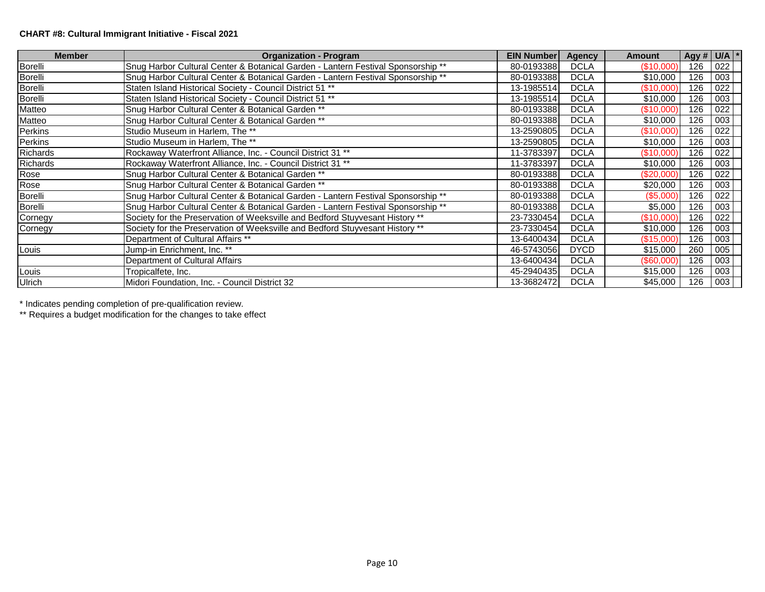### **CHART #8: Cultural Immigrant Initiative - Fiscal 2021**

| <b>Member</b>   | <b>Organization - Program</b>                                                    | <b>EIN Number</b> | <b>Agency</b> | <b>Amount</b> | Agy # $U/A$ * |                  |  |
|-----------------|----------------------------------------------------------------------------------|-------------------|---------------|---------------|---------------|------------------|--|
| Borelli         | Snug Harbor Cultural Center & Botanical Garden - Lantern Festival Sponsorship ** | 80-0193388        | <b>DCLA</b>   | (\$10,000)    | 126           | 022              |  |
| Borelli         | Snug Harbor Cultural Center & Botanical Garden - Lantern Festival Sponsorship ** | 80-0193388        | <b>DCLA</b>   | \$10,000      | 126           | 003              |  |
| Borelli         | Staten Island Historical Society - Council District 51 **                        | 13-1985514        | <b>DCLA</b>   | (\$10,000)    | 126           | 022              |  |
| Borelli         | Staten Island Historical Society - Council District 51 **                        | 13-1985514        | <b>DCLA</b>   | \$10,000      | 126           | 003              |  |
| Matteo          | Snug Harbor Cultural Center & Botanical Garden **                                | 80-0193388        | <b>DCLA</b>   | (\$10,000)    | 126           | 022              |  |
| Matteo          | Snug Harbor Cultural Center & Botanical Garden **                                | 80-0193388        | <b>DCLA</b>   | \$10,000      | 126           | 003              |  |
| Perkins         | Studio Museum in Harlem, The **                                                  | 13-2590805        | <b>DCLA</b>   | (\$10,000)    | 126           | 022              |  |
| Perkins         | Studio Museum in Harlem, The **                                                  | 13-2590805        | <b>DCLA</b>   | \$10,000      | 126           | 003              |  |
| <b>Richards</b> | Rockaway Waterfront Alliance, Inc. - Council District 31 **                      | 11-3783397        | <b>DCLA</b>   | (S10,000)     | 126           | 022              |  |
| <b>Richards</b> | Rockaway Waterfront Alliance, Inc. - Council District 31 **                      | 11-3783397        | <b>DCLA</b>   | \$10,000      | 126           | 003              |  |
| Rose            | Snug Harbor Cultural Center & Botanical Garden **                                | 80-0193388        | <b>DCLA</b>   | (\$20,000)    | 126           | $\overline{022}$ |  |
| Rose            | Snug Harbor Cultural Center & Botanical Garden **                                | 80-0193388        | <b>DCLA</b>   | \$20,000      | 126           | 003              |  |
| Borelli         | Snug Harbor Cultural Center & Botanical Garden - Lantern Festival Sponsorship ** | 80-0193388        | <b>DCLA</b>   | (\$5,000)     | 126           | 022              |  |
| Borelli         | Snug Harbor Cultural Center & Botanical Garden - Lantern Festival Sponsorship ** | 80-0193388        | <b>DCLA</b>   | \$5,000       | 126           | 003              |  |
| Cornegy         | Society for the Preservation of Weeksville and Bedford Stuyvesant History **     | 23-7330454        | <b>DCLA</b>   | (\$10,000)    | 126           | 022              |  |
| Cornegy         | Society for the Preservation of Weeksville and Bedford Stuyvesant History **     | 23-7330454        | <b>DCLA</b>   | \$10,000      | 126           | 003              |  |
|                 | Department of Cultural Affairs **                                                | 13-6400434        | <b>DCLA</b>   | (\$15,000)    | 126           | 003              |  |
| Louis           | Jump-in Enrichment, Inc. **                                                      | 46-5743056        | <b>DYCD</b>   | \$15,000      | 260           | 005              |  |
|                 | Department of Cultural Affairs                                                   | 13-6400434        | <b>DCLA</b>   | (\$60,000)    | 126           | 003              |  |
| Louis           | Tropicalfete, Inc.                                                               | 45-2940435        | <b>DCLA</b>   | \$15,000      | 126           | 003              |  |
| Ulrich          | Midori Foundation, Inc. - Council District 32                                    | 13-3682472        | <b>DCLA</b>   | \$45,000      | 126           | 003              |  |

\* Indicates pending completion of pre-qualification review.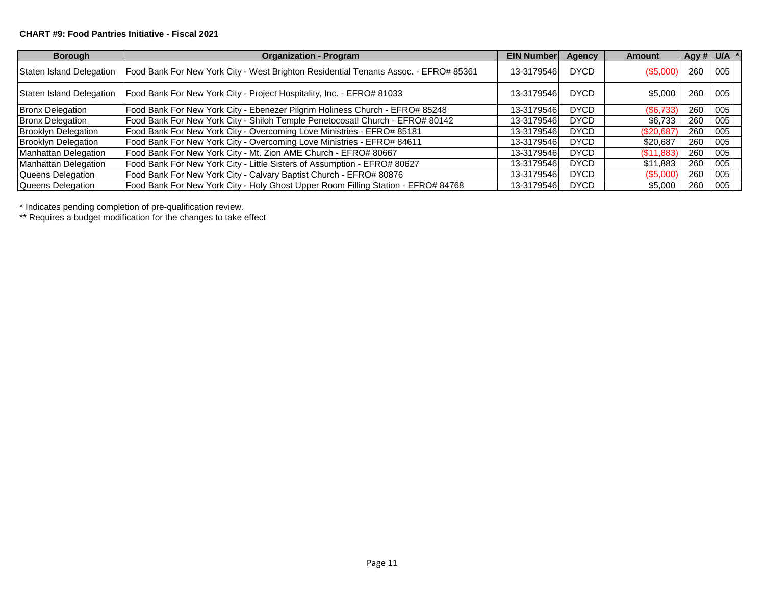#### **CHART #9: Food Pantries Initiative - Fiscal 2021**

| <b>Borough</b>              | <b>Organization - Program</b>                                                        | <b>EIN Number</b> | Agency      | <b>Amount</b> | Agy # $U/A$ * |     |  |
|-----------------------------|--------------------------------------------------------------------------------------|-------------------|-------------|---------------|---------------|-----|--|
| Staten Island Delegation    | Food Bank For New York City - West Brighton Residential Tenants Assoc. - EFRO# 85361 | 13-3179546        | <b>DYCD</b> | (S5,000)      | 260           | 005 |  |
| Staten Island Delegation    | Food Bank For New York City - Project Hospitality, Inc. - EFRO# 81033                | 13-3179546        | <b>DYCD</b> | \$5,000       | 260           | 005 |  |
| <b>Bronx Delegation</b>     | Food Bank For New York City - Ebenezer Pilgrim Holiness Church - EFRO# 85248         | 13-3179546        | <b>DYCD</b> | (\$6,733)     | 260           | 005 |  |
| <b>Bronx Delegation</b>     | Food Bank For New York City - Shiloh Temple Penetocosatl Church - EFRO# 80142        | 13-3179546        | <b>DYCD</b> | \$6.733       | 260           | 005 |  |
| <b>Brooklyn Delegation</b>  | Food Bank For New York City - Overcoming Love Ministries - EFRO# 85181               | 13-3179546        | <b>DYCD</b> | (\$20,687)    | 260           | 005 |  |
| <b>Brooklyn Delegation</b>  | Food Bank For New York City - Overcoming Love Ministries - EFRO# 84611               | 13-3179546        | <b>DYCD</b> | \$20,687      | 260           | 005 |  |
| <b>Manhattan Delegation</b> | Food Bank For New York City - Mt. Zion AME Church - EFRO# 80667                      | 13-3179546        | <b>DYCD</b> | (S11,883)     | 260           | 005 |  |
| <b>Manhattan Delegation</b> | Food Bank For New York City - Little Sisters of Assumption - EFRO# 80627             | 13-3179546        | <b>DYCD</b> | \$11,883      | 260           | 005 |  |
| Queens Delegation           | Food Bank For New York City - Calvary Baptist Church - EFRO# 80876                   | 13-3179546        | <b>DYCD</b> | (\$5,000)     | 260           | 005 |  |
| Queens Delegation           | Food Bank For New York City - Holy Ghost Upper Room Filling Station - EFRO# 84768    | 13-3179546        | <b>DYCD</b> | \$5,000       | 260           | 005 |  |

\* Indicates pending completion of pre-qualification review.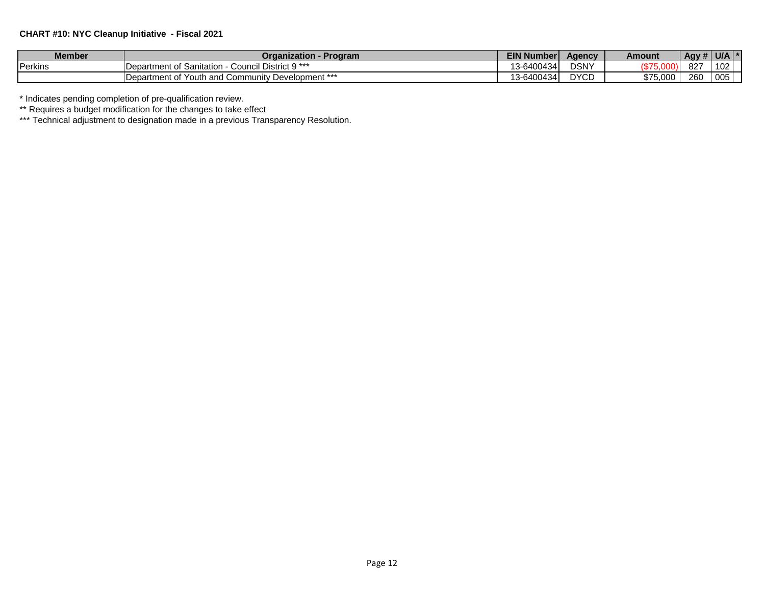### **CHART #10: NYC Cleanup Initiative - Fiscal 2021**

| <b>Member</b>  | Program<br>Organization                                                            | EIN N<br>Number | <b>Agency</b>       | Amount   | $\overline{1}$ Agy $\overline{1}$ |     |  |
|----------------|------------------------------------------------------------------------------------|-----------------|---------------------|----------|-----------------------------------|-----|--|
| <b>Perkins</b> | District 9 ***<br>$\overline{\phantom{a}}$<br>IDepartment of Sanitation<br>Council | 13-6400434      | <b>DSNY</b>         |          | 827                               | 102 |  |
|                | Department of Youth and C<br>Development ***<br>Community                          | 13-6400434      | <b>DVCD</b><br>∪ו ש | \$75.000 | 260                               | 005 |  |

\* Indicates pending completion of pre-qualification review.

\*\* Requires a budget modification for the changes to take effect

\*\*\* Technical adjustment to designation made in a previous Transparency Resolution.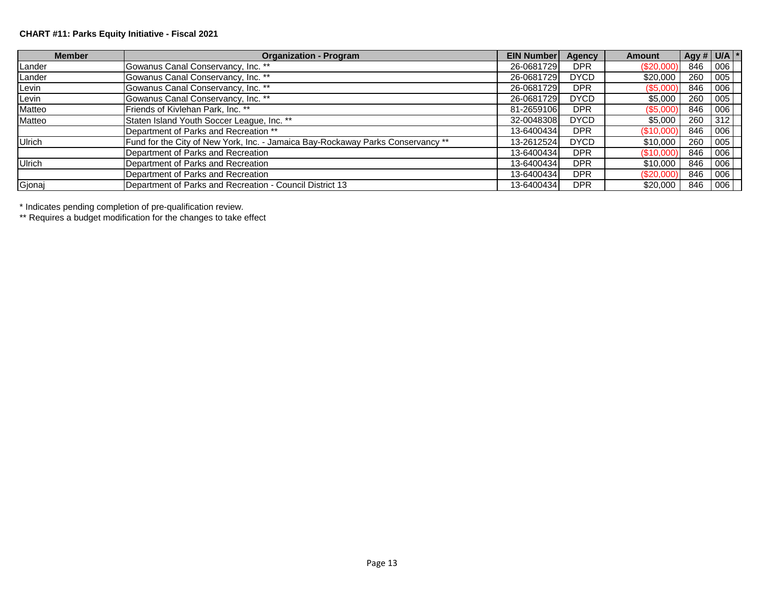## **CHART #11: Parks Equity Initiative - Fiscal 2021**

| <b>Member</b> | <b>Organization - Program</b>                                                   | <b>EIN Number</b> | Agency      | <b>Amount</b> | Agy # $U/A$ * |     |  |
|---------------|---------------------------------------------------------------------------------|-------------------|-------------|---------------|---------------|-----|--|
| Lander        | Gowanus Canal Conservancy, Inc. **                                              | 26-0681729        | <b>DPR</b>  | $(\$20,000)$  | 846           | 006 |  |
| Lander        | Gowanus Canal Conservancy, Inc. **                                              | 26-0681729        | <b>DYCD</b> | \$20,000      | 260           | 005 |  |
| Levin         | Gowanus Canal Conservancy, Inc. **                                              | 26-0681729        | <b>DPR</b>  | (\$5,000)     | 846           | 006 |  |
| Levin         | Gowanus Canal Conservancy, Inc. **                                              | 26-0681729        | <b>DYCD</b> | \$5,000       | 260           | 005 |  |
| Matteo        | Friends of Kivlehan Park, Inc. **                                               | 81-2659106        | <b>DPR</b>  | (S5,000)      | 846           | 006 |  |
| Matteo        | Staten Island Youth Soccer League, Inc. **                                      | 32-0048308        | <b>DYCD</b> | \$5,000       | 260           | 312 |  |
|               | Department of Parks and Recreation **                                           | 13-6400434        | <b>DPR</b>  | $(\$10,000)$  | 846           | 006 |  |
| Ulrich        | Fund for the City of New York, Inc. - Jamaica Bay-Rockaway Parks Conservancy ** | 13-2612524        | <b>DYCD</b> | \$10,000      | 260           | 005 |  |
|               | Department of Parks and Recreation                                              | 13-6400434        | <b>DPR</b>  | (\$10,000)    | 846           | 006 |  |
| <b>Ulrich</b> | Department of Parks and Recreation                                              | 13-6400434        | <b>DPR</b>  | \$10,000      | 846           | 006 |  |
|               | Department of Parks and Recreation                                              | 13-6400434        | <b>DPR</b>  | $(\$20,000)$  | 846           | 006 |  |
| Gjonaj        | Department of Parks and Recreation - Council District 13                        | 13-6400434        | <b>DPR</b>  | \$20,000      | 846           | 006 |  |

\* Indicates pending completion of pre-qualification review.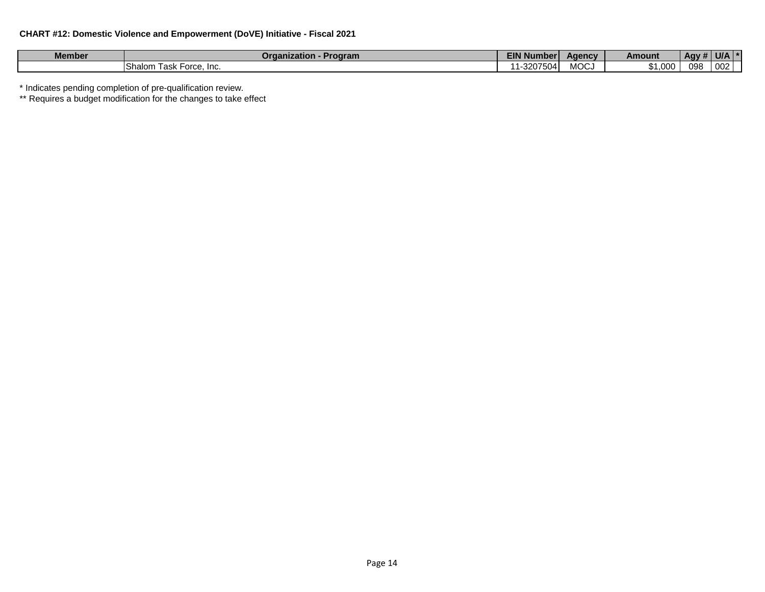| $ -$<br>Member | Program<br>Organization              | -----<br>Numbe <sup>-</sup> | Aaencv | Amount           | . Agy $#$ | U/A |  |
|----------------|--------------------------------------|-----------------------------|--------|------------------|-----------|-----|--|
|                | <b>Shalom</b><br>∣ask<br>⊢orce, Inc. | _ _<br>3207<br>'504<br>. .  | MOC.   | റററ<br>₼.<br>JUU | 098       | 007 |  |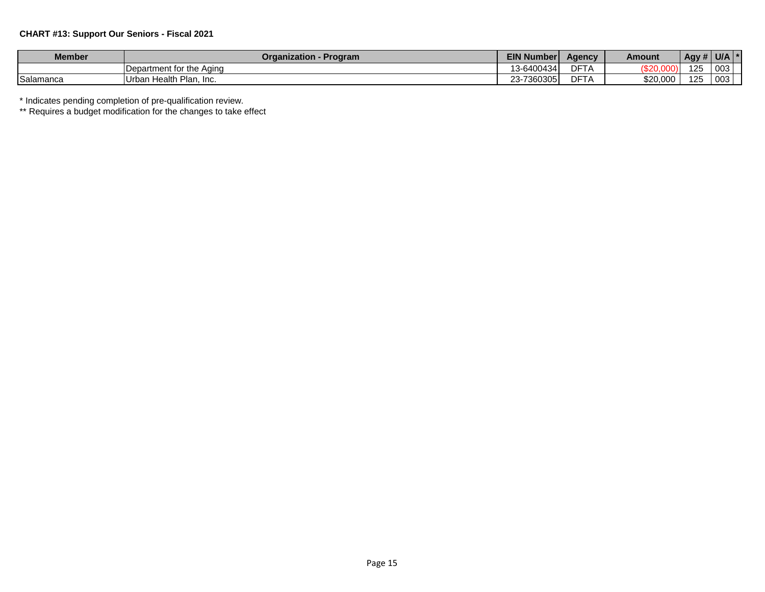### **CHART #13: Support Our Seniors - Fiscal 2021**

| <b>Member</b>    | - Program<br>Organization -  | <b>EIN Number</b>  | <b>Agency</b>              | Amount      | Agy # | U/A |  |
|------------------|------------------------------|--------------------|----------------------------|-------------|-------|-----|--|
|                  | Department for the Aging     | 13-6400434         | DET.<br>⊃⊩<br>$\mathsf{H}$ | (0.0000000) | 125   | 003 |  |
| <b>Salamanca</b> | Urban Health Plan.<br>. Inc. | 360305<br>$23 - 7$ | DFT/<br>.                  | \$20,000    | 125   | 003 |  |

\* Indicates pending completion of pre-qualification review.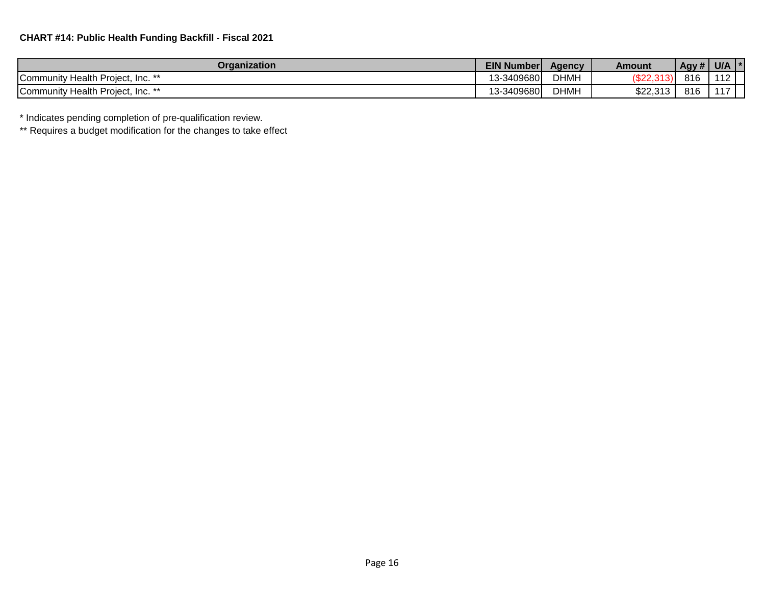| Organization                                               | <b>EIN Number</b> | Agency      | Amount        | Agy# | <b>U/A</b> |  |
|------------------------------------------------------------|-------------------|-------------|---------------|------|------------|--|
| $Inc.$ **<br>Health<br>ı Proiect.<br><b>Community</b>      | 13-3409680        | <b>DHMH</b> | הרים:<br>ے∠ت∀ | 01C  |            |  |
| $\ln e^{**}$<br>/ Health Project, Inc.<br><b>Community</b> | 13-3409680        | <b>DHMH</b> | \$22,313      | 816  | . .        |  |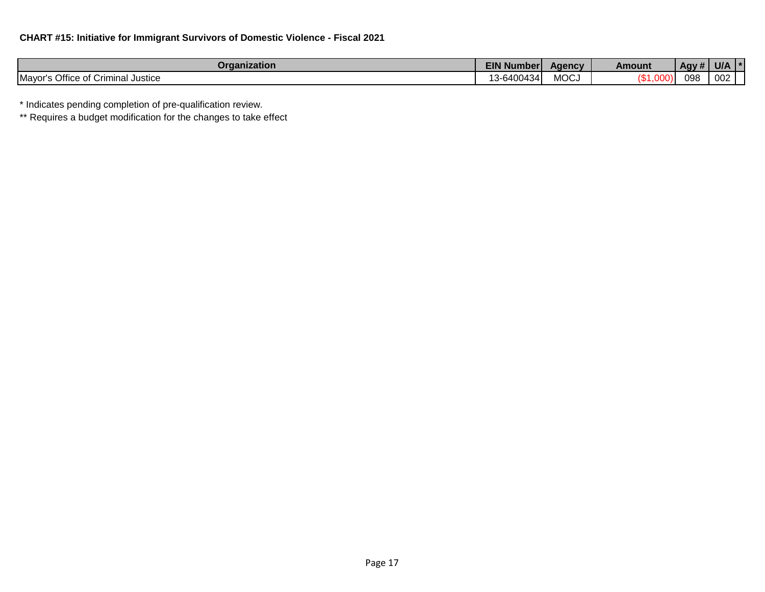| Organization                                                         | <b>EIN Numberl</b>      | Aaencv      | Amount | .<br>Agy # ! | U/A |  |
|----------------------------------------------------------------------|-------------------------|-------------|--------|--------------|-----|--|
| Mayor's Office of<br>`riminal .<br><b>Justice</b><br>ี่ ี่<br>. ان ۱ | 10.010010<br>.3-6400434 | <b>MOCJ</b> |        | 098          | 002 |  |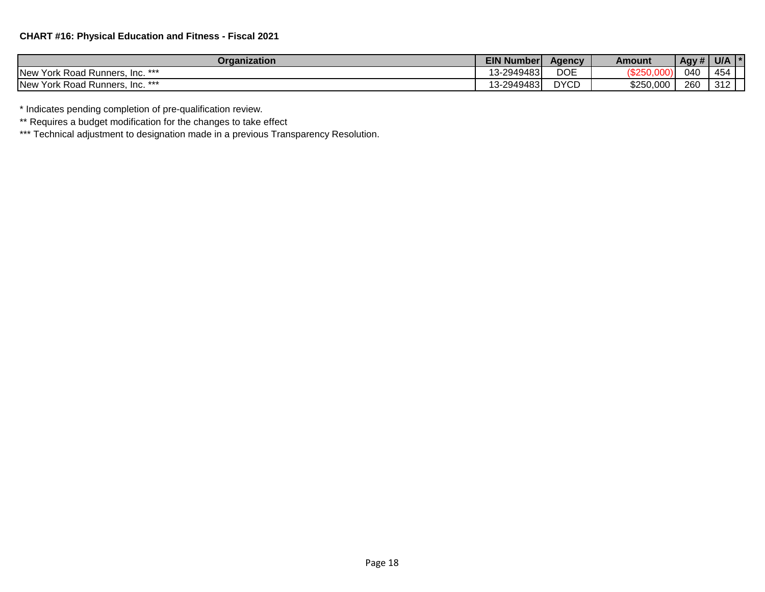| Organization                                     | EIN <sub>N</sub><br>⊦Number | Agency              | Amount    | Agy # | <b>U/A</b> | $\mathbf{r}$ |
|--------------------------------------------------|-----------------------------|---------------------|-----------|-------|------------|--------------|
| J Runners, Inc. ***<br><b>New</b><br>York Road I | 13-2949483                  | $n \wedge r$<br>DOE | ハセクトハ     | 040   | 454        |              |
| <b>New</b><br>York Road Runners, Inc. ***        | 13-2949483                  | <b>DYCD</b>         | \$250,000 | 260   | 312        |              |

\*\* Requires a budget modification for the changes to take effect

\*\*\* Technical adjustment to designation made in a previous Transparency Resolution.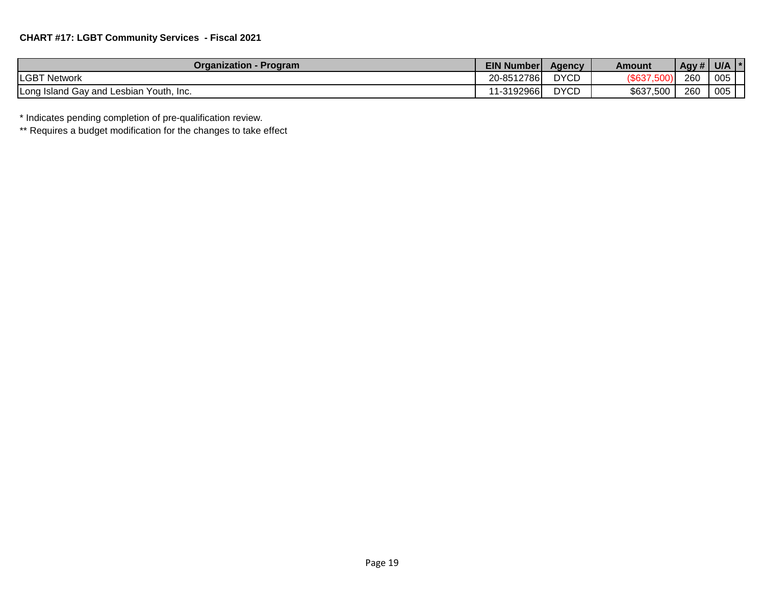| <b>Organization - Program</b>           | <b>EIN Number</b> | Agency      | Amount    | $\overline{Agy#'}$ | U/A | л. |
|-----------------------------------------|-------------------|-------------|-----------|--------------------|-----|----|
| <b>LGBT Network</b>                     | 20-8512786        | <b>DYCD</b> | (\$637    | 260                | 005 |    |
| Long Island Gay and Lesbian Youth, Inc. | 11-3192966        | <b>DYCD</b> | \$637,500 | 260                | 005 |    |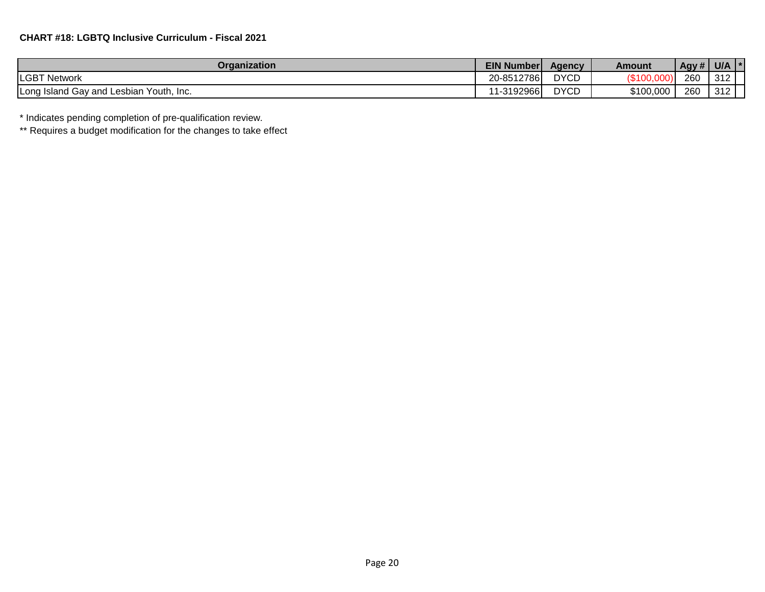| Organization                               | <b>EIN Number</b> | <b>Agency</b> | Amount          | Agy # | U/A          |  |
|--------------------------------------------|-------------------|---------------|-----------------|-------|--------------|--|
| <b>LGBT Network</b>                        | 20-8512786        | <b>DYCD</b>   | <b>UDIUU.UU</b> | 260   | 212<br>ے ا ت |  |
| Long Island Gay and Lesbian<br>Youth. Inc. | 1-3192966         | <b>DYCD</b>   | \$100,000       | 260   | 240<br>ے ا ت |  |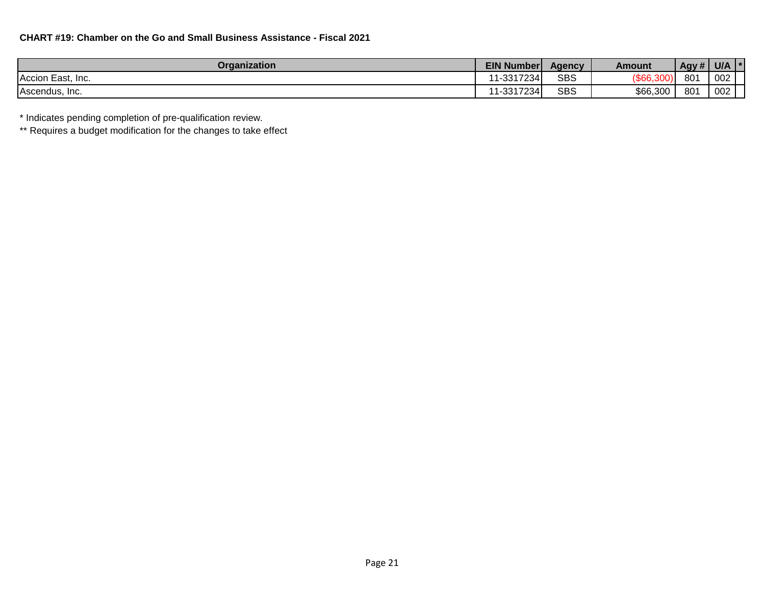| Organization      | <b>EIN Number</b> | Agency     | Amount   | Agy# | U/A |
|-------------------|-------------------|------------|----------|------|-----|
| Accion East, Inc. | 11-3317234        | <b>SBS</b> | ැססעּ∍   | 801  | 002 |
| Ascendus, Inc.    | 11-3317234        | <b>SBS</b> | \$66,300 | 801  | 002 |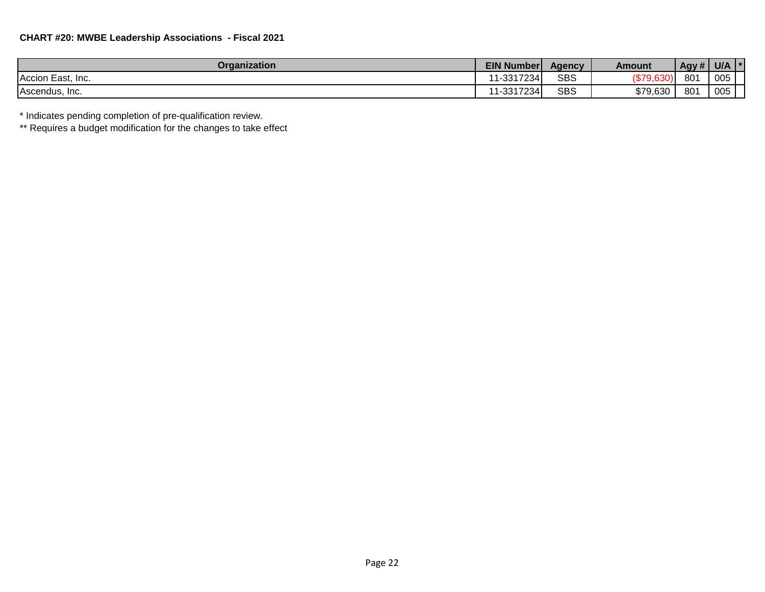| Organization      | <b>EIN Number</b> | <b>Agency</b> | Amount             | Agy # | U/A |  |
|-------------------|-------------------|---------------|--------------------|-------|-----|--|
| Accion East, Inc. | 1-3317234         | SBS           | م۳⊅′<br><b>νυν</b> | 801   | 005 |  |
| Ascendus, Inc.    | 1-3317234         | SBS           | \$79.630           | 801   | 005 |  |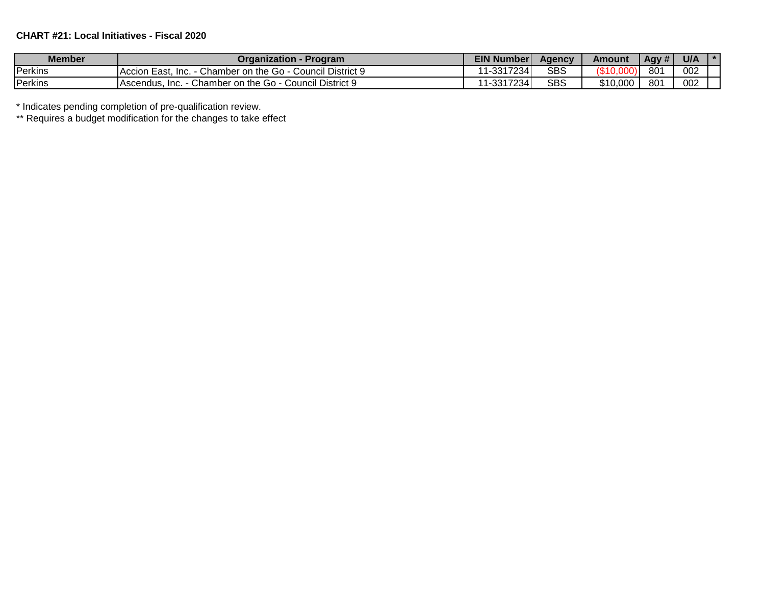# **CHART #21: Local Initiatives - Fiscal 2020**

| <b>Member</b> | Organization -<br><b>Program</b>                                           | <b>EIN Number</b> | Aqency     | <b>Amount</b> | Agy # | U/A |  |
|---------------|----------------------------------------------------------------------------|-------------------|------------|---------------|-------|-----|--|
| Perkins       | <b>Council District 9</b><br>Accion East.<br>Chamber on the Go - C<br>Inc. | $-3317234$        | <b>SBS</b> | \$10          | 801   | 002 |  |
| Perkins       | Chamber on the Go - C<br>Council District 9<br>Inc.<br>IAscendus.          | 1-3317234         | <b>SBS</b> | \$10,000      | 801   | 002 |  |

\* Indicates pending completion of pre-qualification review.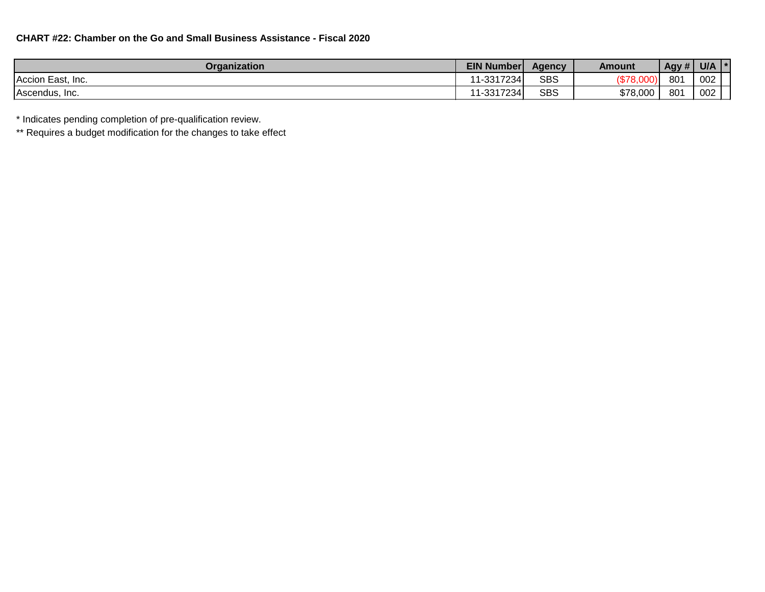| <b>Organization</b>    | <b>EIN Number</b> | Aqency     | Amount           | Agy # | U/A |  |
|------------------------|-------------------|------------|------------------|-------|-----|--|
| Accion East,<br>. Inc. | 11-3317234        | <b>SBS</b> | /ሮ 70<br>, o.ooo | 801   | 002 |  |
| Ascendus, Inc.         | 11-3317234        | <b>SBS</b> | \$78,000         | 801   | 002 |  |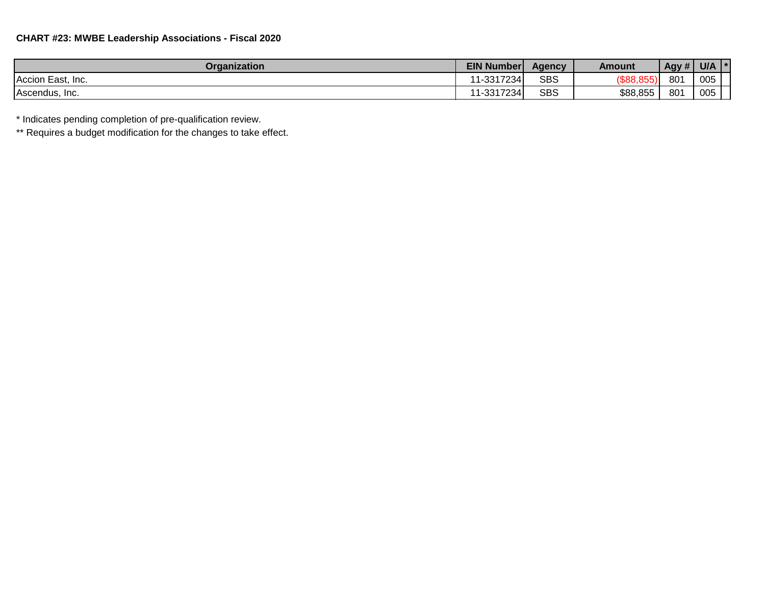| <b>Organization</b> | <b>EIN Number</b> | Agency     | Amount       | Agy # | U/A |  |
|---------------------|-------------------|------------|--------------|-------|-----|--|
| Accion East, Inc.   | 11-3317234        | <b>SBS</b> | $($ \$88,855 | 801   | 005 |  |
| Ascendus, Inc.      | 11-3317234        | <b>SBS</b> | \$88,855     | 801   | 005 |  |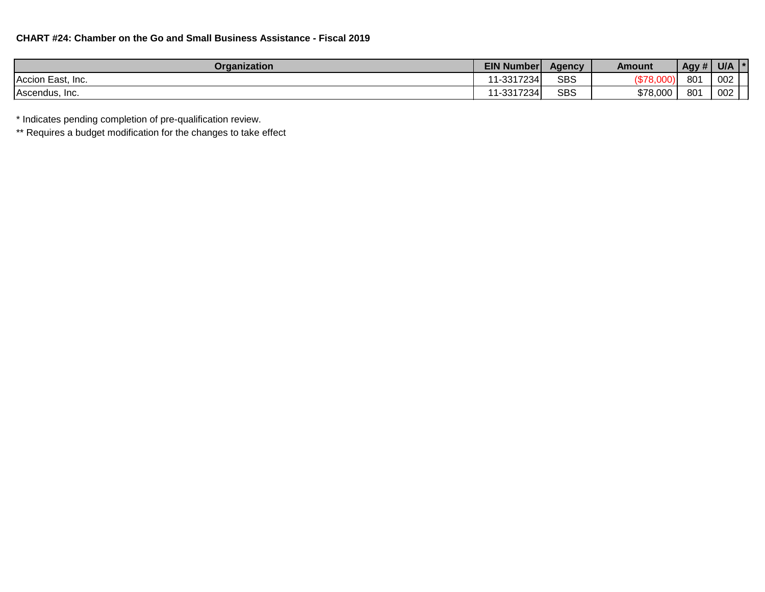| <b>Organization</b> | <b>EIN Number</b> | Agency     | Amount                          | Agy # $\vert$ | <b>U/A</b> |  |
|---------------------|-------------------|------------|---------------------------------|---------------|------------|--|
| Accion East, Inc.   | 11-3317234        | <b>SBS</b> | $\sim$<br>/ሮ70<br><u> ۱۰۵٬۲</u> | 801           | 002        |  |
| Ascendus, Inc.      | 11-3317234        | <b>SBS</b> | \$78,000                        | 801           | 002        |  |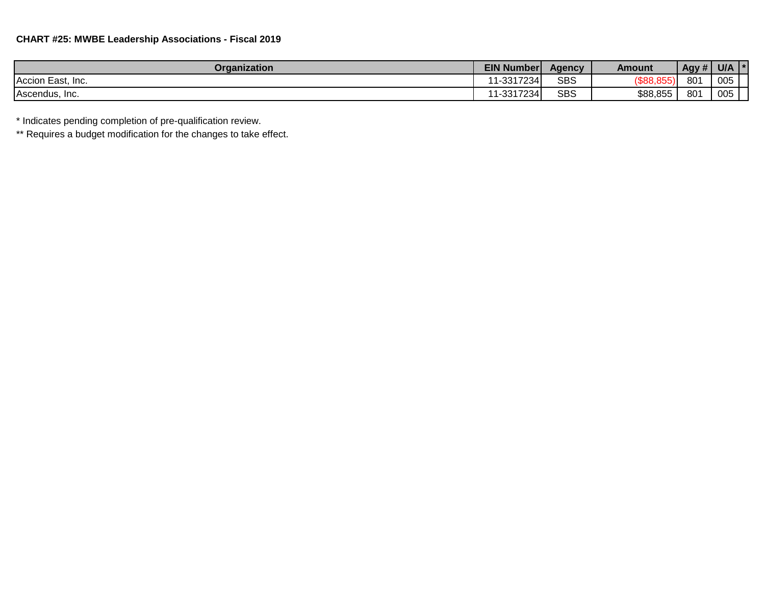| Organization      | <b>EIN Number</b> | Aaencv     | Amount   | $1$ Agy # $\mathsf{P}$ | U/A |  |
|-------------------|-------------------|------------|----------|------------------------|-----|--|
| Accion East, Inc. | 11-3317234        | <b>SBS</b> | ശരെ      | 80 <sub>1</sub>        | 005 |  |
| Ascendus, Inc.    | 1-3317234         | <b>SBS</b> | \$88,855 | 80 <sup>7</sup>        | 005 |  |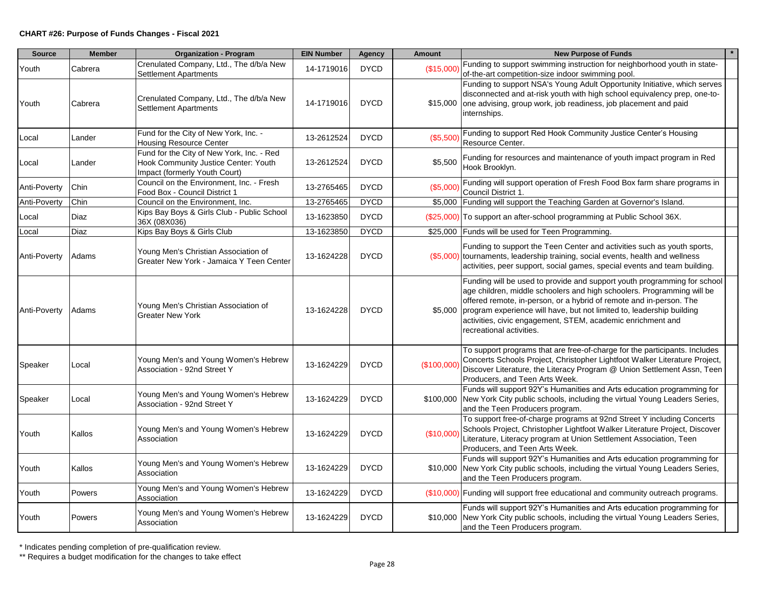| <b>Source</b> | <b>Member</b> | <b>Organization - Program</b>                                                                                      | <b>EIN Number</b> | <b>Agency</b> | <b>Amount</b> | <b>New Purpose of Funds</b>                                                                                                                                                                                                                                                                                                                                                                           |
|---------------|---------------|--------------------------------------------------------------------------------------------------------------------|-------------------|---------------|---------------|-------------------------------------------------------------------------------------------------------------------------------------------------------------------------------------------------------------------------------------------------------------------------------------------------------------------------------------------------------------------------------------------------------|
| Youth         | Cabrera       | Crenulated Company, Ltd., The d/b/a New<br>Settlement Apartments                                                   | 14-1719016        | <b>DYCD</b>   | (\$15,000     | Funding to support swimming instruction for neighborhood youth in state-<br>of-the-art competition-size indoor swimming pool.                                                                                                                                                                                                                                                                         |
| Youth         | Cabrera       | Crenulated Company, Ltd., The d/b/a New<br><b>Settlement Apartments</b>                                            | 14-1719016        | <b>DYCD</b>   |               | Funding to support NSA's Young Adult Opportunity Initiative, which serves<br>disconnected and at-risk youth with high school equivalency prep, one-to-<br>\$15,000 one advising, group work, job readiness, job placement and paid<br>internships.                                                                                                                                                    |
| Local         | Lander        | Fund for the City of New York, Inc. -<br><b>Housing Resource Center</b>                                            | 13-2612524        | <b>DYCD</b>   | (\$5,500)     | Funding to support Red Hook Community Justice Center's Housing<br>Resource Center.                                                                                                                                                                                                                                                                                                                    |
| Local         | Lander        | Fund for the City of New York, Inc. - Red<br>Hook Community Justice Center: Youth<br>Impact (formerly Youth Court) | 13-2612524        | <b>DYCD</b>   | \$5,500       | Funding for resources and maintenance of youth impact program in Red<br>Hook Brooklyn.                                                                                                                                                                                                                                                                                                                |
| Anti-Poverty  | Chin          | Council on the Environment, Inc. - Fresh<br>Food Box - Council District 1                                          | 13-2765465        | <b>DYCD</b>   | (\$5,000      | Funding will support operation of Fresh Food Box farm share programs in<br>Council District 1.                                                                                                                                                                                                                                                                                                        |
| Anti-Poverty  | Chin          | Council on the Environment, Inc.                                                                                   | 13-2765465        | <b>DYCD</b>   |               | \$5,000 Funding will support the Teaching Garden at Governor's Island.                                                                                                                                                                                                                                                                                                                                |
| Local         | Diaz          | Kips Bay Boys & Girls Club - Public School<br>36X (08X036)                                                         | 13-1623850        | <b>DYCD</b>   |               | (\$25,000) To support an after-school programming at Public School 36X.                                                                                                                                                                                                                                                                                                                               |
| Local         | Diaz          | Kips Bay Boys & Girls Club                                                                                         | 13-1623850        | <b>DYCD</b>   |               | \$25,000 Funds will be used for Teen Programming.                                                                                                                                                                                                                                                                                                                                                     |
| Anti-Poverty  | Adams         | Young Men's Christian Association of<br>Greater New York - Jamaica Y Teen Center                                   | 13-1624228        | <b>DYCD</b>   |               | Funding to support the Teen Center and activities such as youth sports,<br>(\$5,000) tournaments, leadership training, social events, health and wellness<br>activities, peer support, social games, special events and team building.                                                                                                                                                                |
| Anti-Poverty  | Adams         | Young Men's Christian Association of<br><b>Greater New York</b>                                                    | 13-1624228        | <b>DYCD</b>   |               | Funding will be used to provide and support youth programming for school<br>age children, middle schoolers and high schoolers. Programming will be<br>offered remote, in-person, or a hybrid of remote and in-person. The<br>\$5,000 program experience will have, but not limited to, leadership building<br>activities, civic engagement, STEM, academic enrichment and<br>recreational activities. |
| Speaker       | Local         | Young Men's and Young Women's Hebrew<br>Association - 92nd Street Y                                                | 13-1624229        | <b>DYCD</b>   | (\$100,000    | To support programs that are free-of-charge for the participants. Includes<br>Concerts Schools Project, Christopher Lightfoot Walker Literature Project,<br>Discover Literature, the Literacy Program @ Union Settlement Assn, Teen<br>Producers, and Teen Arts Week.                                                                                                                                 |
| Speaker       | Local         | Young Men's and Young Women's Hebrew<br>Association - 92nd Street Y                                                | 13-1624229        | <b>DYCD</b>   |               | Funds will support 92Y's Humanities and Arts education programming for<br>\$100,000 New York City public schools, including the virtual Young Leaders Series,<br>and the Teen Producers program.                                                                                                                                                                                                      |
| Youth         | Kallos        | Young Men's and Young Women's Hebrew<br>Association                                                                | 13-1624229        | <b>DYCD</b>   | (\$10,000     | To support free-of-charge programs at 92nd Street Y including Concerts<br>Schools Project, Christopher Lightfoot Walker Literature Project, Discover<br>Literature, Literacy program at Union Settlement Association, Teen<br>Producers, and Teen Arts Week.                                                                                                                                          |
| Youth         | Kallos        | Young Men's and Young Women's Hebrew<br>Association                                                                | 13-1624229        | <b>DYCD</b>   |               | Funds will support 92Y's Humanities and Arts education programming for<br>\$10,000 New York City public schools, including the virtual Young Leaders Series,<br>and the Teen Producers program.                                                                                                                                                                                                       |
| Youth         | Powers        | Young Men's and Young Women's Hebrew<br>Association                                                                | 13-1624229        | <b>DYCD</b>   |               | (\$10,000) Funding will support free educational and community outreach programs.                                                                                                                                                                                                                                                                                                                     |
| Youth         | Powers        | Young Men's and Young Women's Hebrew<br>Association                                                                | 13-1624229        | <b>DYCD</b>   |               | Funds will support 92Y's Humanities and Arts education programming for<br>\$10,000 New York City public schools, including the virtual Young Leaders Series,<br>and the Teen Producers program.                                                                                                                                                                                                       |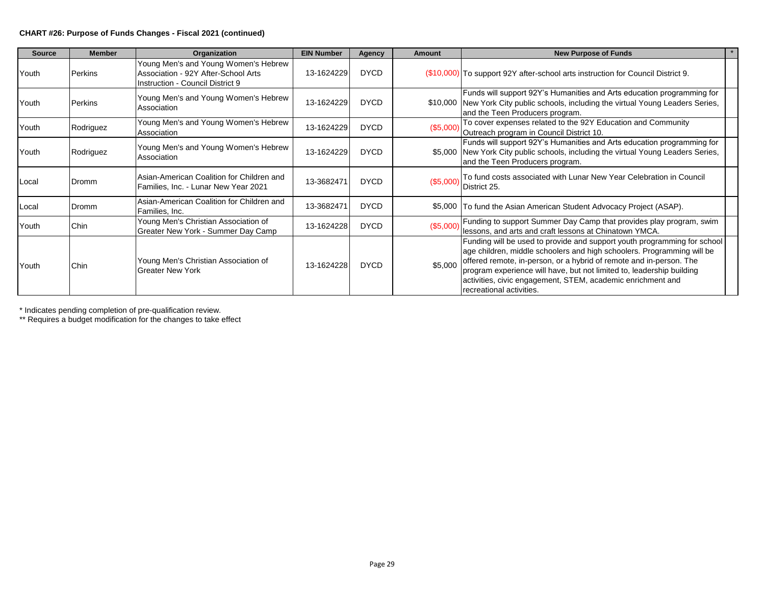#### **CHART #26: Purpose of Funds Changes - Fiscal 2021 (continued)**

| <b>Source</b> | <b>Member</b> | Organization                                                                                                    | <b>EIN Number</b> | Agency      | Amount    | <b>New Purpose of Funds</b>                                                                                                                                                                                                                                                                                                                                                                   |
|---------------|---------------|-----------------------------------------------------------------------------------------------------------------|-------------------|-------------|-----------|-----------------------------------------------------------------------------------------------------------------------------------------------------------------------------------------------------------------------------------------------------------------------------------------------------------------------------------------------------------------------------------------------|
| Youth         | Perkins       | Young Men's and Young Women's Hebrew<br>Association - 92Y After-School Arts<br>Instruction - Council District 9 | 13-1624229        | <b>DYCD</b> |           | (\$10,000) To support 92Y after-school arts instruction for Council District 9.                                                                                                                                                                                                                                                                                                               |
| Youth         | Perkins       | Young Men's and Young Women's Hebrew<br>Association                                                             | 13-1624229        | <b>DYCD</b> |           | Funds will support 92Y's Humanities and Arts education programming for<br>\$10,000   New York City public schools, including the virtual Young Leaders Series,<br>and the Teen Producers program.                                                                                                                                                                                             |
| Youth         | Rodriguez     | Young Men's and Young Women's Hebrew<br>Association                                                             | 13-1624229        | <b>DYCD</b> | (\$5,000) | To cover expenses related to the 92Y Education and Community<br>Outreach program in Council District 10.                                                                                                                                                                                                                                                                                      |
| Youth         | Rodriguez     | Young Men's and Young Women's Hebrew<br>Association                                                             | 13-1624229        | <b>DYCD</b> |           | Funds will support 92Y's Humanities and Arts education programming for<br>\$5,000 New York City public schools, including the virtual Young Leaders Series,<br>and the Teen Producers program.                                                                                                                                                                                                |
| Local         | Dromm         | Asian-American Coalition for Children and<br>Families, Inc. - Lunar New Year 2021                               | 13-3682471        | <b>DYCD</b> | (\$5,000) | To fund costs associated with Lunar New Year Celebration in Council<br>District 25.                                                                                                                                                                                                                                                                                                           |
| Local         | Dromm         | Asian-American Coalition for Children and<br>Families, Inc.                                                     | 13-3682471        | <b>DYCD</b> |           | \$5,000 To fund the Asian American Student Advocacy Project (ASAP).                                                                                                                                                                                                                                                                                                                           |
| Youth         | Chin          | Young Men's Christian Association of<br>Greater New York - Summer Day Camp                                      | 13-1624228        | <b>DYCD</b> | (\$5,000) | Funding to support Summer Day Camp that provides play program, swim<br>lessons, and arts and craft lessons at Chinatown YMCA.                                                                                                                                                                                                                                                                 |
| Youth         | <b>Chin</b>   | Young Men's Christian Association of<br><b>Greater New York</b>                                                 | 13-1624228        | <b>DYCD</b> | \$5,000   | Funding will be used to provide and support youth programming for school<br>age children, middle schoolers and high schoolers. Programming will be<br>offered remote, in-person, or a hybrid of remote and in-person. The<br>program experience will have, but not limited to, leadership building<br>activities, civic engagement, STEM, academic enrichment and<br>recreational activities. |

\* Indicates pending completion of pre-qualification review.